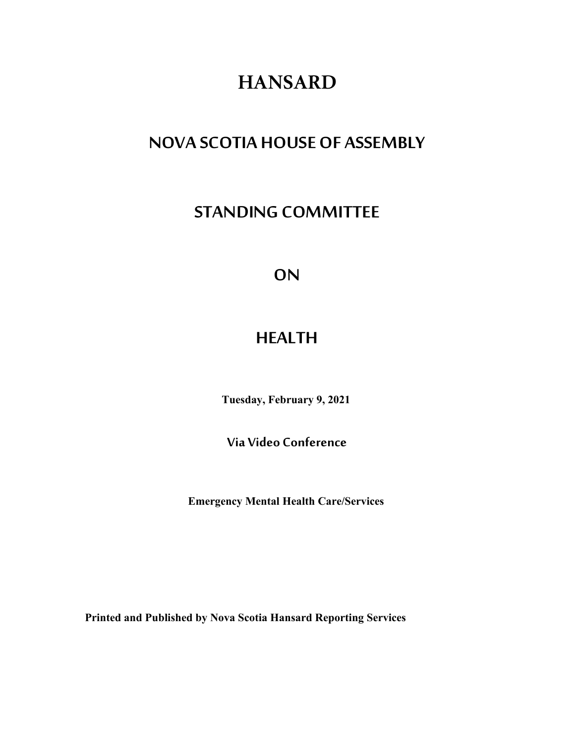# **HANSARD**

## **NOVA SCOTIA HOUSE OF ASSEMBLY**

## **STANDING COMMITTEE**

## **ON**

## **HEALTH**

**Tuesday, February 9, 2021**

**Via Video Conference**

**Emergency Mental Health Care/Services**

**Printed and Published by Nova Scotia Hansard Reporting Services**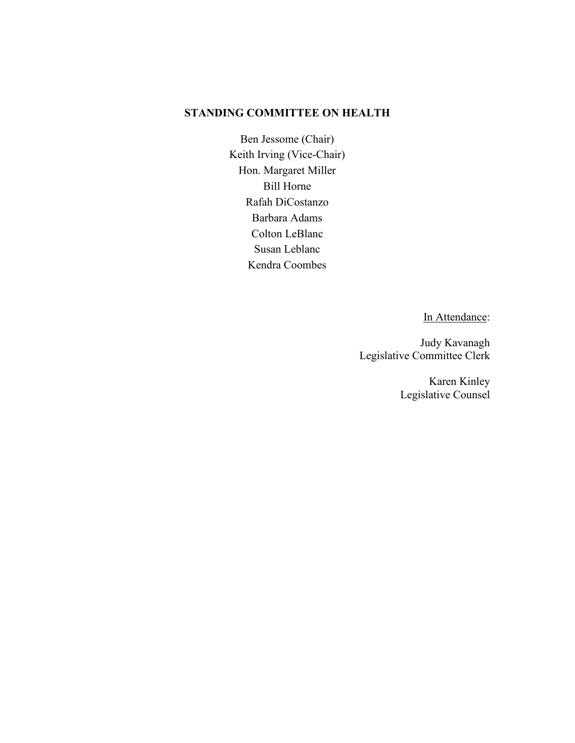## **STANDING COMMITTEE ON HEALTH**

Ben Jessome (Chair) Keith Irving (Vice-Chair) Hon. Margaret Miller Bill Horne Rafah DiCostanzo Barbara Adams Colton LeBlanc Susan Leblanc Kendra Coombes

In Attendance:

Judy Kavanagh Legislative Committee Clerk

> Karen Kinley Legislative Counsel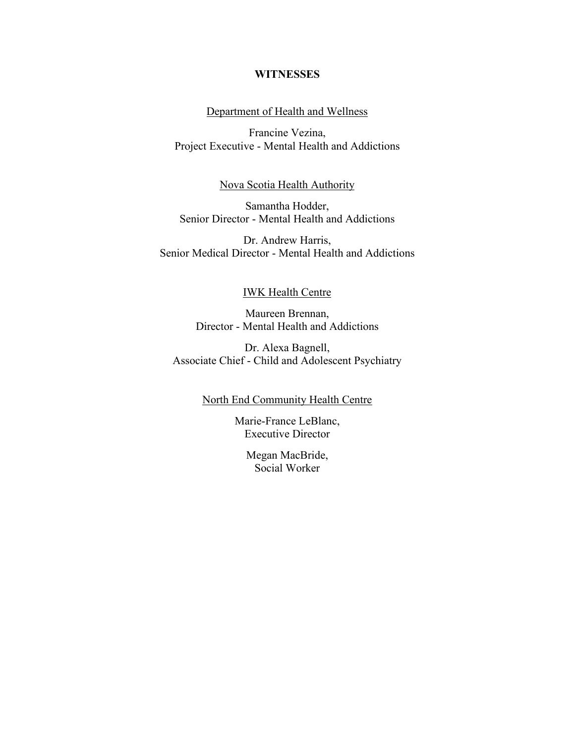## **WITNESSES**

## Department of Health and Wellness

Francine Vezina, Project Executive - Mental Health and Addictions

### Nova Scotia Health Authority

Samantha Hodder, Senior Director - Mental Health and Addictions

Dr. Andrew Harris, Senior Medical Director - Mental Health and Addictions

### IWK Health Centre

Maureen Brennan, Director - Mental Health and Addictions

Dr. Alexa Bagnell, Associate Chief - Child and Adolescent Psychiatry

## North End Community Health Centre

Marie-France LeBlanc, Executive Director

Megan MacBride, Social Worker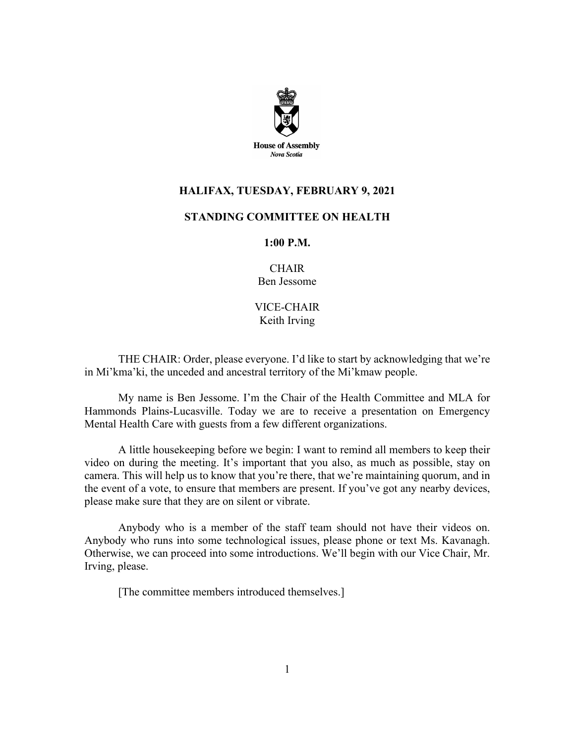

## **HALIFAX, TUESDAY, FEBRUARY 9, 2021**

## **STANDING COMMITTEE ON HEALTH**

### **1:00 P.M.**

**CHAIR** Ben Jessome

VICE-CHAIR Keith Irving

THE CHAIR: Order, please everyone. I'd like to start by acknowledging that we're in Mi'kma'ki, the unceded and ancestral territory of the Mi'kmaw people.

My name is Ben Jessome. I'm the Chair of the Health Committee and MLA for Hammonds Plains-Lucasville. Today we are to receive a presentation on Emergency Mental Health Care with guests from a few different organizations.

A little housekeeping before we begin: I want to remind all members to keep their video on during the meeting. It's important that you also, as much as possible, stay on camera. This will help us to know that you're there, that we're maintaining quorum, and in the event of a vote, to ensure that members are present. If you've got any nearby devices, please make sure that they are on silent or vibrate.

Anybody who is a member of the staff team should not have their videos on. Anybody who runs into some technological issues, please phone or text Ms. Kavanagh. Otherwise, we can proceed into some introductions. We'll begin with our Vice Chair, Mr. Irving, please.

[The committee members introduced themselves.]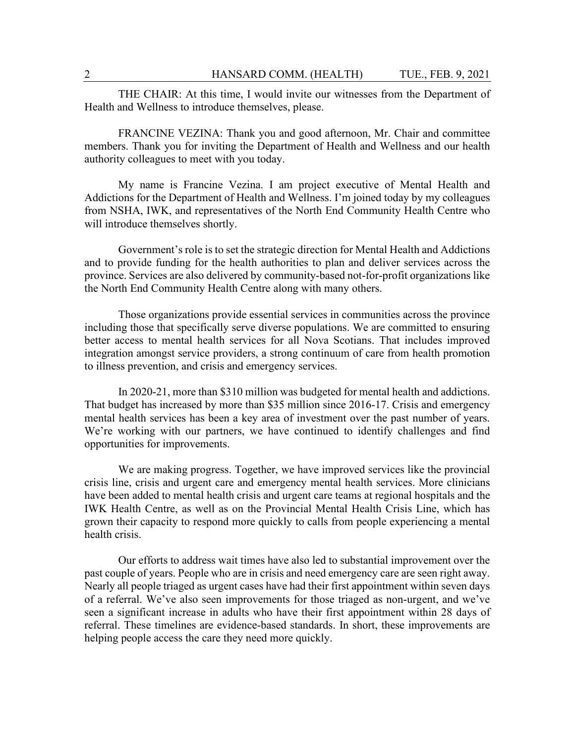THE CHAIR: At this time, I would invite our witnesses from the Department of Health and Wellness to introduce themselves, please.

FRANCINE VEZINA: Thank you and good afternoon, Mr. Chair and committee members. Thank you for inviting the Department of Health and Wellness and our health authority colleagues to meet with you today.

My name is Francine Vezina. I am project executive of Mental Health and Addictions for the Department of Health and Wellness. I'm joined today by my colleagues from NSHA, IWK, and representatives of the North End Community Health Centre who will introduce themselves shortly.

Government's role is to set the strategic direction for Mental Health and Addictions and to provide funding for the health authorities to plan and deliver services across the province. Services are also delivered by community-based not-for-profit organizations like the North End Community Health Centre along with many others.

Those organizations provide essential services in communities across the province including those that specifically serve diverse populations. We are committed to ensuring better access to mental health services for all Nova Scotians. That includes improved integration amongst service providers, a strong continuum of care from health promotion to illness prevention, and crisis and emergency services.

In 2020-21, more than \$310 million was budgeted for mental health and addictions. That budget has increased by more than \$35 million since 2016-17. Crisis and emergency mental health services has been a key area of investment over the past number of years. We're working with our partners, we have continued to identify challenges and find opportunities for improvements.

We are making progress. Together, we have improved services like the provincial crisis line, crisis and urgent care and emergency mental health services. More clinicians have been added to mental health crisis and urgent care teams at regional hospitals and the IWK Health Centre, as well as on the Provincial Mental Health Crisis Line, which has grown their capacity to respond more quickly to calls from people experiencing a mental health crisis.

Our efforts to address wait times have also led to substantial improvement over the past couple of years. People who are in crisis and need emergency care are seen right away. Nearly all people triaged as urgent cases have had their first appointment within seven days of a referral. We've also seen improvements for those triaged as non-urgent, and we've seen a significant increase in adults who have their first appointment within 28 days of referral. These timelines are evidence-based standards. In short, these improvements are helping people access the care they need more quickly.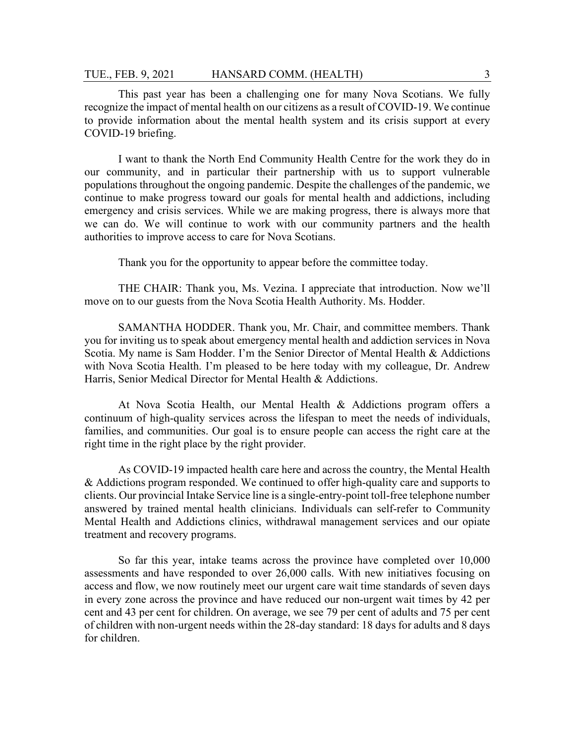This past year has been a challenging one for many Nova Scotians. We fully recognize the impact of mental health on our citizens as a result of COVID-19. We continue to provide information about the mental health system and its crisis support at every COVID-19 briefing.

I want to thank the North End Community Health Centre for the work they do in our community, and in particular their partnership with us to support vulnerable populations throughout the ongoing pandemic. Despite the challenges of the pandemic, we continue to make progress toward our goals for mental health and addictions, including emergency and crisis services. While we are making progress, there is always more that we can do. We will continue to work with our community partners and the health authorities to improve access to care for Nova Scotians.

Thank you for the opportunity to appear before the committee today.

THE CHAIR: Thank you, Ms. Vezina. I appreciate that introduction. Now we'll move on to our guests from the Nova Scotia Health Authority. Ms. Hodder.

SAMANTHA HODDER. Thank you, Mr. Chair, and committee members. Thank you for inviting us to speak about emergency mental health and addiction services in Nova Scotia. My name is Sam Hodder. I'm the Senior Director of Mental Health & Addictions with Nova Scotia Health. I'm pleased to be here today with my colleague, Dr. Andrew Harris, Senior Medical Director for Mental Health & Addictions.

At Nova Scotia Health, our Mental Health & Addictions program offers a continuum of high-quality services across the lifespan to meet the needs of individuals, families, and communities. Our goal is to ensure people can access the right care at the right time in the right place by the right provider.

As COVID-19 impacted health care here and across the country, the Mental Health & Addictions program responded. We continued to offer high-quality care and supports to clients. Our provincial Intake Service line is a single-entry-point toll-free telephone number answered by trained mental health clinicians. Individuals can self-refer to Community Mental Health and Addictions clinics, withdrawal management services and our opiate treatment and recovery programs.

So far this year, intake teams across the province have completed over 10,000 assessments and have responded to over 26,000 calls. With new initiatives focusing on access and flow, we now routinely meet our urgent care wait time standards of seven days in every zone across the province and have reduced our non-urgent wait times by 42 per cent and 43 per cent for children. On average, we see 79 per cent of adults and 75 per cent of children with non-urgent needs within the 28-day standard: 18 days for adults and 8 days for children.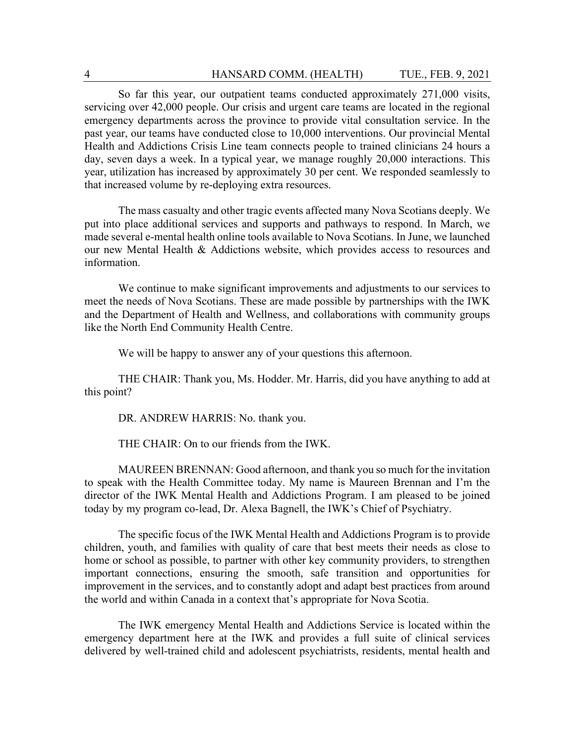So far this year, our outpatient teams conducted approximately 271,000 visits, servicing over 42,000 people. Our crisis and urgent care teams are located in the regional emergency departments across the province to provide vital consultation service. In the past year, our teams have conducted close to 10,000 interventions. Our provincial Mental Health and Addictions Crisis Line team connects people to trained clinicians 24 hours a day, seven days a week. In a typical year, we manage roughly 20,000 interactions. This year, utilization has increased by approximately 30 per cent. We responded seamlessly to that increased volume by re-deploying extra resources.

The mass casualty and other tragic events affected many Nova Scotians deeply. We put into place additional services and supports and pathways to respond. In March, we made several e-mental health online tools available to Nova Scotians. In June, we launched our new Mental Health & Addictions website, which provides access to resources and information.

We continue to make significant improvements and adjustments to our services to meet the needs of Nova Scotians. These are made possible by partnerships with the IWK and the Department of Health and Wellness, and collaborations with community groups like the North End Community Health Centre.

We will be happy to answer any of your questions this afternoon.

THE CHAIR: Thank you, Ms. Hodder. Mr. Harris, did you have anything to add at this point?

DR. ANDREW HARRIS: No. thank you.

THE CHAIR: On to our friends from the IWK.

MAUREEN BRENNAN: Good afternoon, and thank you so much for the invitation to speak with the Health Committee today. My name is Maureen Brennan and I'm the director of the IWK Mental Health and Addictions Program. I am pleased to be joined today by my program co-lead, Dr. Alexa Bagnell, the IWK's Chief of Psychiatry.

The specific focus of the IWK Mental Health and Addictions Program is to provide children, youth, and families with quality of care that best meets their needs as close to home or school as possible, to partner with other key community providers, to strengthen important connections, ensuring the smooth, safe transition and opportunities for improvement in the services, and to constantly adopt and adapt best practices from around the world and within Canada in a context that's appropriate for Nova Scotia.

The IWK emergency Mental Health and Addictions Service is located within the emergency department here at the IWK and provides a full suite of clinical services delivered by well-trained child and adolescent psychiatrists, residents, mental health and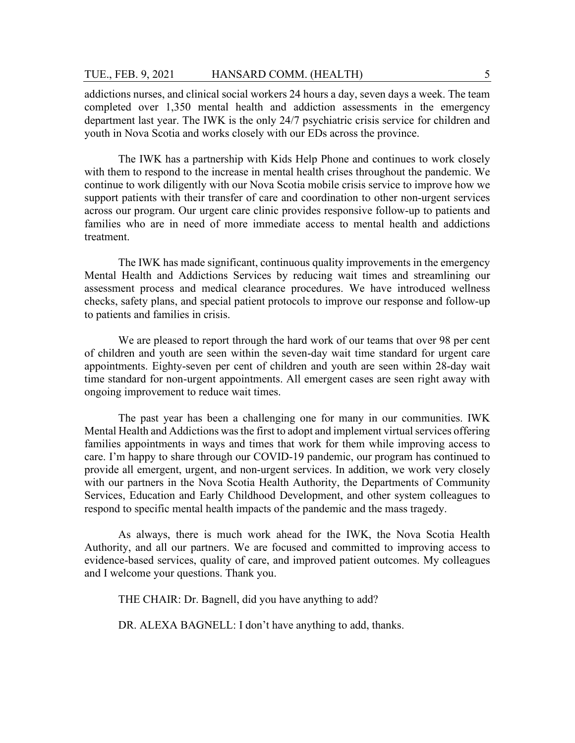addictions nurses, and clinical social workers 24 hours a day, seven days a week. The team completed over 1,350 mental health and addiction assessments in the emergency department last year. The IWK is the only 24/7 psychiatric crisis service for children and youth in Nova Scotia and works closely with our EDs across the province.

The IWK has a partnership with Kids Help Phone and continues to work closely with them to respond to the increase in mental health crises throughout the pandemic. We continue to work diligently with our Nova Scotia mobile crisis service to improve how we support patients with their transfer of care and coordination to other non-urgent services across our program. Our urgent care clinic provides responsive follow-up to patients and families who are in need of more immediate access to mental health and addictions treatment.

The IWK has made significant, continuous quality improvements in the emergency Mental Health and Addictions Services by reducing wait times and streamlining our assessment process and medical clearance procedures. We have introduced wellness checks, safety plans, and special patient protocols to improve our response and follow-up to patients and families in crisis.

We are pleased to report through the hard work of our teams that over 98 per cent of children and youth are seen within the seven-day wait time standard for urgent care appointments. Eighty-seven per cent of children and youth are seen within 28-day wait time standard for non-urgent appointments. All emergent cases are seen right away with ongoing improvement to reduce wait times.

The past year has been a challenging one for many in our communities. IWK Mental Health and Addictions was the first to adopt and implement virtual services offering families appointments in ways and times that work for them while improving access to care. I'm happy to share through our COVID-19 pandemic, our program has continued to provide all emergent, urgent, and non-urgent services. In addition, we work very closely with our partners in the Nova Scotia Health Authority, the Departments of Community Services, Education and Early Childhood Development, and other system colleagues to respond to specific mental health impacts of the pandemic and the mass tragedy.

As always, there is much work ahead for the IWK, the Nova Scotia Health Authority, and all our partners. We are focused and committed to improving access to evidence-based services, quality of care, and improved patient outcomes. My colleagues and I welcome your questions. Thank you.

THE CHAIR: Dr. Bagnell, did you have anything to add?

DR. ALEXA BAGNELL: I don't have anything to add, thanks.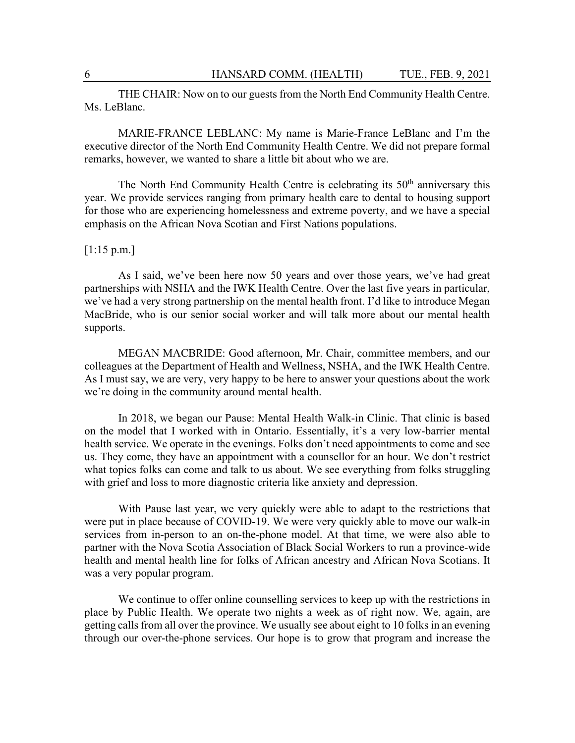THE CHAIR: Now on to our guests from the North End Community Health Centre. Ms. LeBlanc.

MARIE-FRANCE LEBLANC: My name is Marie-France LeBlanc and I'm the executive director of the North End Community Health Centre. We did not prepare formal remarks, however, we wanted to share a little bit about who we are.

The North End Community Health Centre is celebrating its  $50<sup>th</sup>$  anniversary this year. We provide services ranging from primary health care to dental to housing support for those who are experiencing homelessness and extreme poverty, and we have a special emphasis on the African Nova Scotian and First Nations populations.

### $[1:15 \text{ p.m.}]$

As I said, we've been here now 50 years and over those years, we've had great partnerships with NSHA and the IWK Health Centre. Over the last five years in particular, we've had a very strong partnership on the mental health front. I'd like to introduce Megan MacBride, who is our senior social worker and will talk more about our mental health supports.

MEGAN MACBRIDE: Good afternoon, Mr. Chair, committee members, and our colleagues at the Department of Health and Wellness, NSHA, and the IWK Health Centre. As I must say, we are very, very happy to be here to answer your questions about the work we're doing in the community around mental health.

In 2018, we began our Pause: Mental Health Walk-in Clinic. That clinic is based on the model that I worked with in Ontario. Essentially, it's a very low-barrier mental health service. We operate in the evenings. Folks don't need appointments to come and see us. They come, they have an appointment with a counsellor for an hour. We don't restrict what topics folks can come and talk to us about. We see everything from folks struggling with grief and loss to more diagnostic criteria like anxiety and depression.

With Pause last year, we very quickly were able to adapt to the restrictions that were put in place because of COVID-19. We were very quickly able to move our walk-in services from in-person to an on-the-phone model. At that time, we were also able to partner with the Nova Scotia Association of Black Social Workers to run a province-wide health and mental health line for folks of African ancestry and African Nova Scotians. It was a very popular program.

We continue to offer online counselling services to keep up with the restrictions in place by Public Health. We operate two nights a week as of right now. We, again, are getting calls from all over the province. We usually see about eight to 10 folks in an evening through our over-the-phone services. Our hope is to grow that program and increase the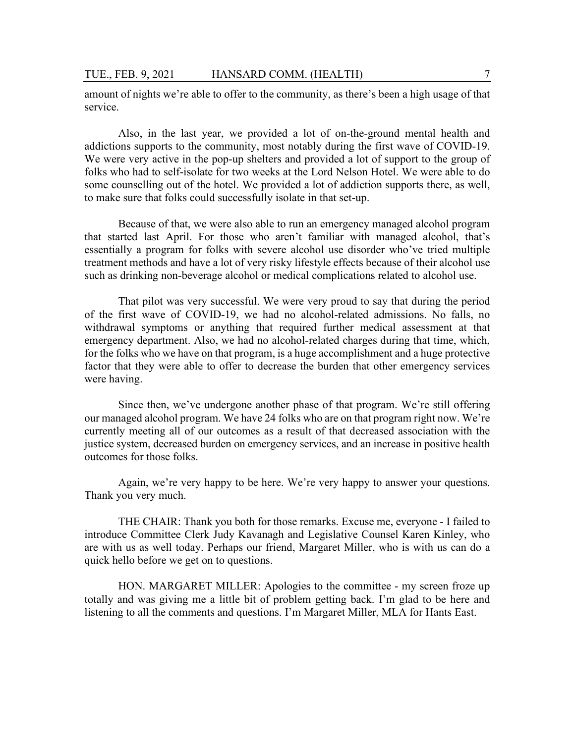amount of nights we're able to offer to the community, as there's been a high usage of that service.

Also, in the last year, we provided a lot of on-the-ground mental health and addictions supports to the community, most notably during the first wave of COVID-19. We were very active in the pop-up shelters and provided a lot of support to the group of folks who had to self-isolate for two weeks at the Lord Nelson Hotel. We were able to do some counselling out of the hotel. We provided a lot of addiction supports there, as well, to make sure that folks could successfully isolate in that set-up.

Because of that, we were also able to run an emergency managed alcohol program that started last April. For those who aren't familiar with managed alcohol, that's essentially a program for folks with severe alcohol use disorder who've tried multiple treatment methods and have a lot of very risky lifestyle effects because of their alcohol use such as drinking non-beverage alcohol or medical complications related to alcohol use.

That pilot was very successful. We were very proud to say that during the period of the first wave of COVID-19, we had no alcohol-related admissions. No falls, no withdrawal symptoms or anything that required further medical assessment at that emergency department. Also, we had no alcohol-related charges during that time, which, for the folks who we have on that program, is a huge accomplishment and a huge protective factor that they were able to offer to decrease the burden that other emergency services were having.

Since then, we've undergone another phase of that program. We're still offering our managed alcohol program. We have 24 folks who are on that program right now. We're currently meeting all of our outcomes as a result of that decreased association with the justice system, decreased burden on emergency services, and an increase in positive health outcomes for those folks.

Again, we're very happy to be here. We're very happy to answer your questions. Thank you very much.

THE CHAIR: Thank you both for those remarks. Excuse me, everyone - I failed to introduce Committee Clerk Judy Kavanagh and Legislative Counsel Karen Kinley, who are with us as well today. Perhaps our friend, Margaret Miller, who is with us can do a quick hello before we get on to questions.

HON. MARGARET MILLER: Apologies to the committee - my screen froze up totally and was giving me a little bit of problem getting back. I'm glad to be here and listening to all the comments and questions. I'm Margaret Miller, MLA for Hants East.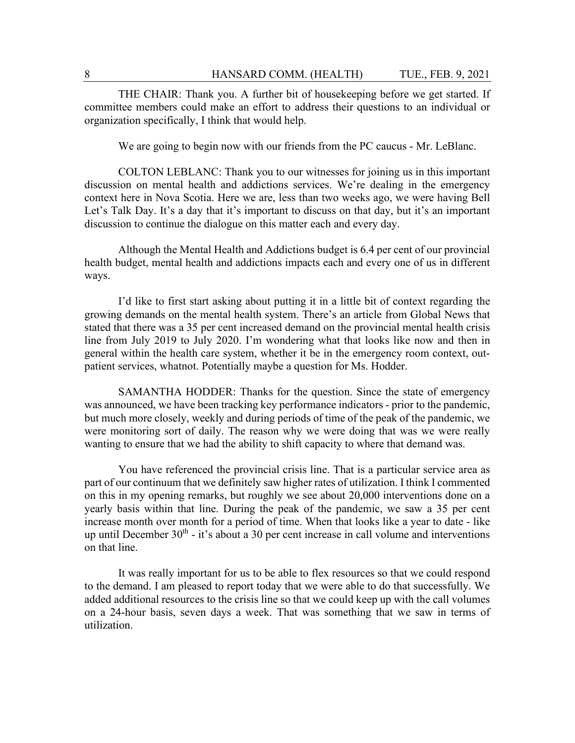THE CHAIR: Thank you. A further bit of housekeeping before we get started. If committee members could make an effort to address their questions to an individual or organization specifically, I think that would help.

We are going to begin now with our friends from the PC caucus - Mr. LeBlanc.

COLTON LEBLANC: Thank you to our witnesses for joining us in this important discussion on mental health and addictions services. We're dealing in the emergency context here in Nova Scotia. Here we are, less than two weeks ago, we were having Bell Let's Talk Day. It's a day that it's important to discuss on that day, but it's an important discussion to continue the dialogue on this matter each and every day.

Although the Mental Health and Addictions budget is 6.4 per cent of our provincial health budget, mental health and addictions impacts each and every one of us in different ways.

I'd like to first start asking about putting it in a little bit of context regarding the growing demands on the mental health system. There's an article from Global News that stated that there was a 35 per cent increased demand on the provincial mental health crisis line from July 2019 to July 2020. I'm wondering what that looks like now and then in general within the health care system, whether it be in the emergency room context, outpatient services, whatnot. Potentially maybe a question for Ms. Hodder.

SAMANTHA HODDER: Thanks for the question. Since the state of emergency was announced, we have been tracking key performance indicators - prior to the pandemic, but much more closely, weekly and during periods of time of the peak of the pandemic, we were monitoring sort of daily. The reason why we were doing that was we were really wanting to ensure that we had the ability to shift capacity to where that demand was.

You have referenced the provincial crisis line. That is a particular service area as part of our continuum that we definitely saw higher rates of utilization. I think I commented on this in my opening remarks, but roughly we see about 20,000 interventions done on a yearly basis within that line. During the peak of the pandemic, we saw a 35 per cent increase month over month for a period of time. When that looks like a year to date - like up until December  $30<sup>th</sup>$  - it's about a 30 per cent increase in call volume and interventions on that line.

It was really important for us to be able to flex resources so that we could respond to the demand. I am pleased to report today that we were able to do that successfully. We added additional resources to the crisis line so that we could keep up with the call volumes on a 24-hour basis, seven days a week. That was something that we saw in terms of utilization.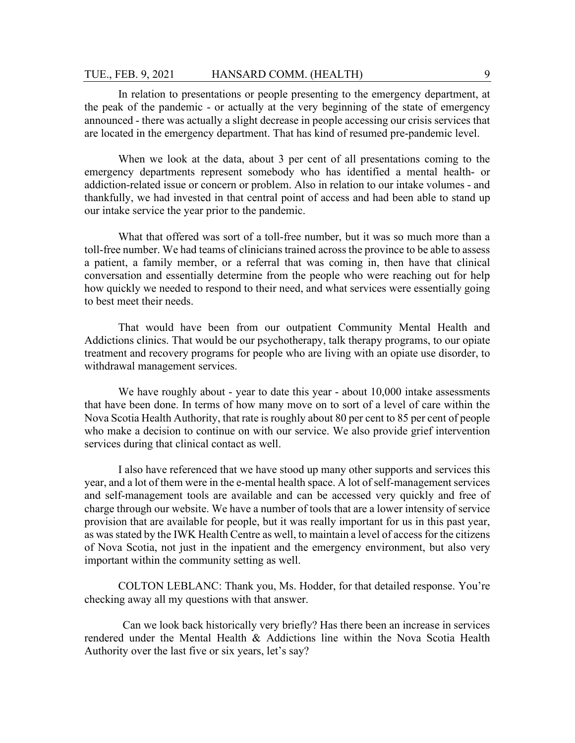### TUE., FEB. 9, 2021 HANSARD COMM. (HEALTH) 9

In relation to presentations or people presenting to the emergency department, at the peak of the pandemic - or actually at the very beginning of the state of emergency announced - there was actually a slight decrease in people accessing our crisis services that are located in the emergency department. That has kind of resumed pre-pandemic level.

When we look at the data, about 3 per cent of all presentations coming to the emergency departments represent somebody who has identified a mental health- or addiction-related issue or concern or problem. Also in relation to our intake volumes - and thankfully, we had invested in that central point of access and had been able to stand up our intake service the year prior to the pandemic.

What that offered was sort of a toll-free number, but it was so much more than a toll-free number. We had teams of clinicians trained across the province to be able to assess a patient, a family member, or a referral that was coming in, then have that clinical conversation and essentially determine from the people who were reaching out for help how quickly we needed to respond to their need, and what services were essentially going to best meet their needs.

That would have been from our outpatient Community Mental Health and Addictions clinics. That would be our psychotherapy, talk therapy programs, to our opiate treatment and recovery programs for people who are living with an opiate use disorder, to withdrawal management services.

We have roughly about - year to date this year - about 10,000 intake assessments that have been done. In terms of how many move on to sort of a level of care within the Nova Scotia Health Authority, that rate is roughly about 80 per cent to 85 per cent of people who make a decision to continue on with our service. We also provide grief intervention services during that clinical contact as well.

I also have referenced that we have stood up many other supports and services this year, and a lot of them were in the e-mental health space. A lot of self-management services and self-management tools are available and can be accessed very quickly and free of charge through our website. We have a number of tools that are a lower intensity of service provision that are available for people, but it was really important for us in this past year, as was stated by the IWK Health Centre as well, to maintain a level of access for the citizens of Nova Scotia, not just in the inpatient and the emergency environment, but also very important within the community setting as well.

COLTON LEBLANC: Thank you, Ms. Hodder, for that detailed response. You're checking away all my questions with that answer.

Can we look back historically very briefly? Has there been an increase in services rendered under the Mental Health & Addictions line within the Nova Scotia Health Authority over the last five or six years, let's say?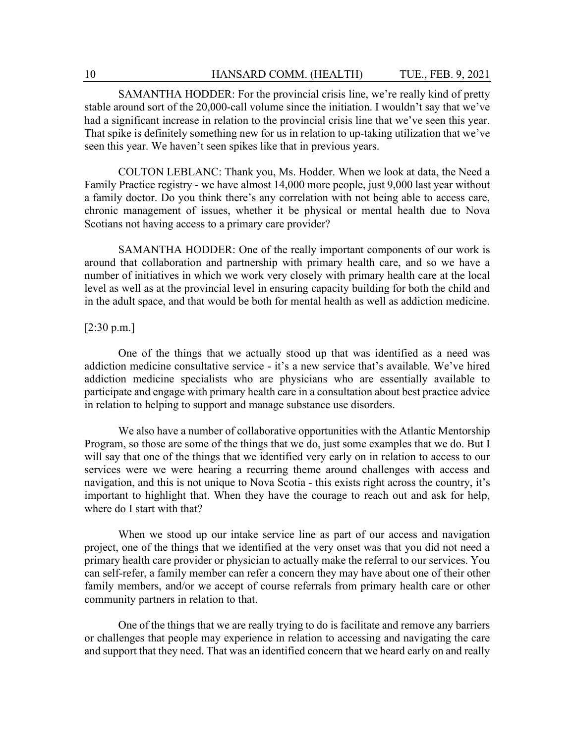SAMANTHA HODDER: For the provincial crisis line, we're really kind of pretty stable around sort of the 20,000-call volume since the initiation. I wouldn't say that we've had a significant increase in relation to the provincial crisis line that we've seen this year. That spike is definitely something new for us in relation to up-taking utilization that we've seen this year. We haven't seen spikes like that in previous years.

COLTON LEBLANC: Thank you, Ms. Hodder. When we look at data, the Need a Family Practice registry - we have almost 14,000 more people, just 9,000 last year without a family doctor. Do you think there's any correlation with not being able to access care, chronic management of issues, whether it be physical or mental health due to Nova Scotians not having access to a primary care provider?

SAMANTHA HODDER: One of the really important components of our work is around that collaboration and partnership with primary health care, and so we have a number of initiatives in which we work very closely with primary health care at the local level as well as at the provincial level in ensuring capacity building for both the child and in the adult space, and that would be both for mental health as well as addiction medicine.

### [2:30 p.m.]

One of the things that we actually stood up that was identified as a need was addiction medicine consultative service - it's a new service that's available. We've hired addiction medicine specialists who are physicians who are essentially available to participate and engage with primary health care in a consultation about best practice advice in relation to helping to support and manage substance use disorders.

We also have a number of collaborative opportunities with the Atlantic Mentorship Program, so those are some of the things that we do, just some examples that we do. But I will say that one of the things that we identified very early on in relation to access to our services were we were hearing a recurring theme around challenges with access and navigation, and this is not unique to Nova Scotia - this exists right across the country, it's important to highlight that. When they have the courage to reach out and ask for help, where do I start with that?

When we stood up our intake service line as part of our access and navigation project, one of the things that we identified at the very onset was that you did not need a primary health care provider or physician to actually make the referral to our services. You can self-refer, a family member can refer a concern they may have about one of their other family members, and/or we accept of course referrals from primary health care or other community partners in relation to that.

One of the things that we are really trying to do is facilitate and remove any barriers or challenges that people may experience in relation to accessing and navigating the care and support that they need. That was an identified concern that we heard early on and really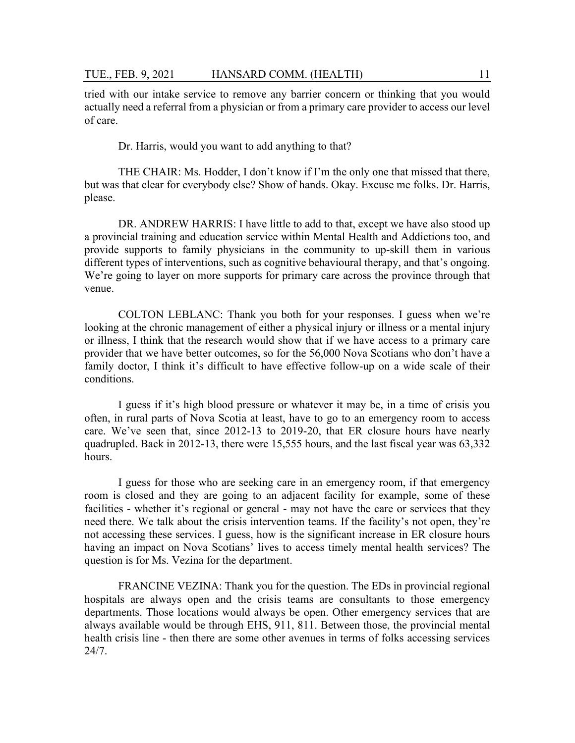tried with our intake service to remove any barrier concern or thinking that you would actually need a referral from a physician or from a primary care provider to access our level of care.

Dr. Harris, would you want to add anything to that?

THE CHAIR: Ms. Hodder, I don't know if I'm the only one that missed that there, but was that clear for everybody else? Show of hands. Okay. Excuse me folks. Dr. Harris, please.

DR. ANDREW HARRIS: I have little to add to that, except we have also stood up a provincial training and education service within Mental Health and Addictions too, and provide supports to family physicians in the community to up-skill them in various different types of interventions, such as cognitive behavioural therapy, and that's ongoing. We're going to layer on more supports for primary care across the province through that venue.

COLTON LEBLANC: Thank you both for your responses. I guess when we're looking at the chronic management of either a physical injury or illness or a mental injury or illness, I think that the research would show that if we have access to a primary care provider that we have better outcomes, so for the 56,000 Nova Scotians who don't have a family doctor, I think it's difficult to have effective follow-up on a wide scale of their conditions.

I guess if it's high blood pressure or whatever it may be, in a time of crisis you often, in rural parts of Nova Scotia at least, have to go to an emergency room to access care. We've seen that, since 2012-13 to 2019-20, that ER closure hours have nearly quadrupled. Back in 2012-13, there were 15,555 hours, and the last fiscal year was 63,332 hours.

I guess for those who are seeking care in an emergency room, if that emergency room is closed and they are going to an adjacent facility for example, some of these facilities - whether it's regional or general - may not have the care or services that they need there. We talk about the crisis intervention teams. If the facility's not open, they're not accessing these services. I guess, how is the significant increase in ER closure hours having an impact on Nova Scotians' lives to access timely mental health services? The question is for Ms. Vezina for the department.

FRANCINE VEZINA: Thank you for the question. The EDs in provincial regional hospitals are always open and the crisis teams are consultants to those emergency departments. Those locations would always be open. Other emergency services that are always available would be through EHS, 911, 811. Between those, the provincial mental health crisis line - then there are some other avenues in terms of folks accessing services 24/7.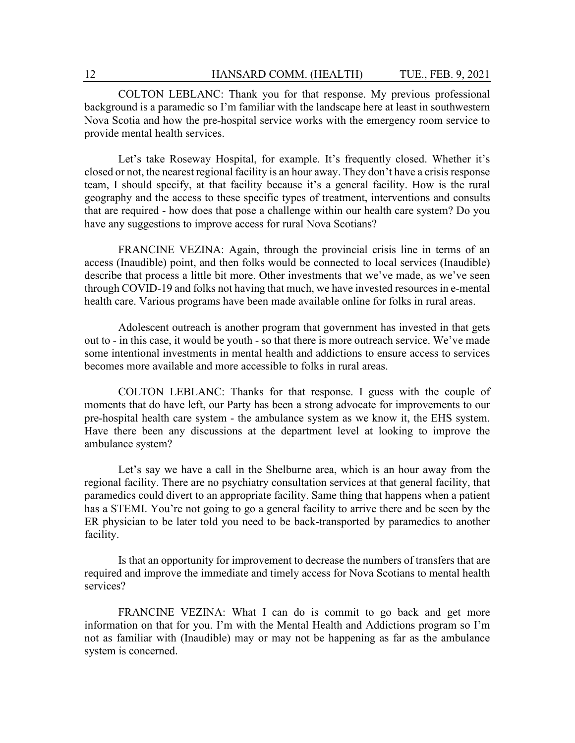COLTON LEBLANC: Thank you for that response. My previous professional background is a paramedic so I'm familiar with the landscape here at least in southwestern Nova Scotia and how the pre-hospital service works with the emergency room service to provide mental health services.

Let's take Roseway Hospital, for example. It's frequently closed. Whether it's closed or not, the nearest regional facility is an hour away. They don't have a crisis response team, I should specify, at that facility because it's a general facility. How is the rural geography and the access to these specific types of treatment, interventions and consults that are required - how does that pose a challenge within our health care system? Do you have any suggestions to improve access for rural Nova Scotians?

FRANCINE VEZINA: Again, through the provincial crisis line in terms of an access (Inaudible) point, and then folks would be connected to local services (Inaudible) describe that process a little bit more. Other investments that we've made, as we've seen through COVID-19 and folks not having that much, we have invested resources in e-mental health care. Various programs have been made available online for folks in rural areas.

Adolescent outreach is another program that government has invested in that gets out to - in this case, it would be youth - so that there is more outreach service. We've made some intentional investments in mental health and addictions to ensure access to services becomes more available and more accessible to folks in rural areas.

COLTON LEBLANC: Thanks for that response. I guess with the couple of moments that do have left, our Party has been a strong advocate for improvements to our pre-hospital health care system - the ambulance system as we know it, the EHS system. Have there been any discussions at the department level at looking to improve the ambulance system?

Let's say we have a call in the Shelburne area, which is an hour away from the regional facility. There are no psychiatry consultation services at that general facility, that paramedics could divert to an appropriate facility. Same thing that happens when a patient has a STEMI. You're not going to go a general facility to arrive there and be seen by the ER physician to be later told you need to be back-transported by paramedics to another facility.

Is that an opportunity for improvement to decrease the numbers of transfers that are required and improve the immediate and timely access for Nova Scotians to mental health services?

FRANCINE VEZINA: What I can do is commit to go back and get more information on that for you. I'm with the Mental Health and Addictions program so I'm not as familiar with (Inaudible) may or may not be happening as far as the ambulance system is concerned.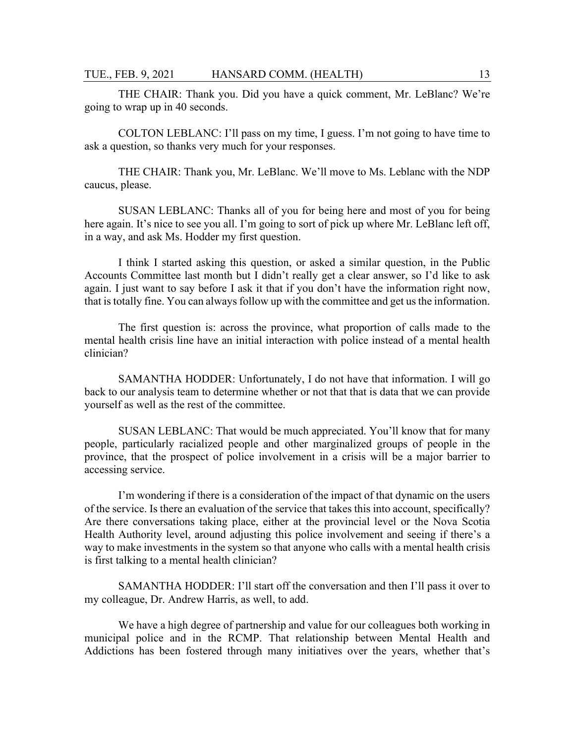THE CHAIR: Thank you. Did you have a quick comment, Mr. LeBlanc? We're going to wrap up in 40 seconds.

COLTON LEBLANC: I'll pass on my time, I guess. I'm not going to have time to ask a question, so thanks very much for your responses.

THE CHAIR: Thank you, Mr. LeBlanc. We'll move to Ms. Leblanc with the NDP caucus, please.

SUSAN LEBLANC: Thanks all of you for being here and most of you for being here again. It's nice to see you all. I'm going to sort of pick up where Mr. LeBlanc left off, in a way, and ask Ms. Hodder my first question.

I think I started asking this question, or asked a similar question, in the Public Accounts Committee last month but I didn't really get a clear answer, so I'd like to ask again. I just want to say before I ask it that if you don't have the information right now, that is totally fine. You can always follow up with the committee and get us the information.

The first question is: across the province, what proportion of calls made to the mental health crisis line have an initial interaction with police instead of a mental health clinician?

SAMANTHA HODDER: Unfortunately, I do not have that information. I will go back to our analysis team to determine whether or not that that is data that we can provide yourself as well as the rest of the committee.

SUSAN LEBLANC: That would be much appreciated. You'll know that for many people, particularly racialized people and other marginalized groups of people in the province, that the prospect of police involvement in a crisis will be a major barrier to accessing service.

I'm wondering if there is a consideration of the impact of that dynamic on the users of the service. Is there an evaluation of the service that takes this into account, specifically? Are there conversations taking place, either at the provincial level or the Nova Scotia Health Authority level, around adjusting this police involvement and seeing if there's a way to make investments in the system so that anyone who calls with a mental health crisis is first talking to a mental health clinician?

SAMANTHA HODDER: I'll start off the conversation and then I'll pass it over to my colleague, Dr. Andrew Harris, as well, to add.

We have a high degree of partnership and value for our colleagues both working in municipal police and in the RCMP. That relationship between Mental Health and Addictions has been fostered through many initiatives over the years, whether that's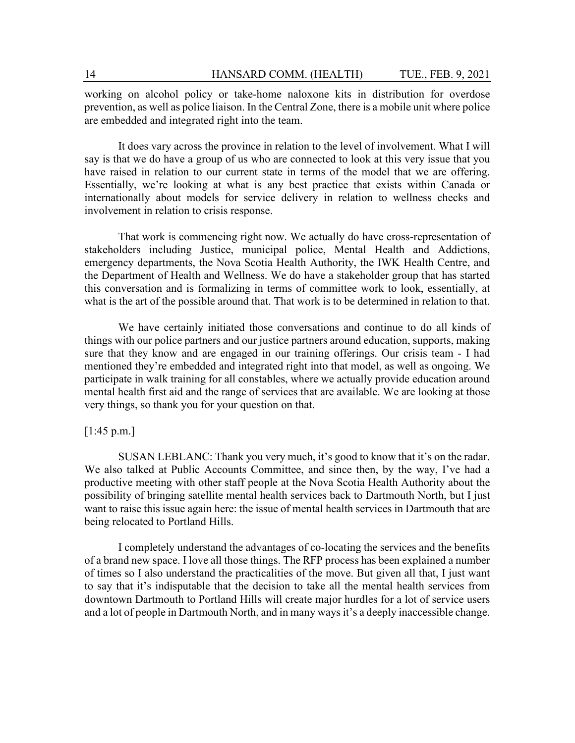working on alcohol policy or take-home naloxone kits in distribution for overdose prevention, as well as police liaison. In the Central Zone, there is a mobile unit where police are embedded and integrated right into the team.

It does vary across the province in relation to the level of involvement. What I will say is that we do have a group of us who are connected to look at this very issue that you have raised in relation to our current state in terms of the model that we are offering. Essentially, we're looking at what is any best practice that exists within Canada or internationally about models for service delivery in relation to wellness checks and involvement in relation to crisis response.

That work is commencing right now. We actually do have cross-representation of stakeholders including Justice, municipal police, Mental Health and Addictions, emergency departments, the Nova Scotia Health Authority, the IWK Health Centre, and the Department of Health and Wellness. We do have a stakeholder group that has started this conversation and is formalizing in terms of committee work to look, essentially, at what is the art of the possible around that. That work is to be determined in relation to that.

We have certainly initiated those conversations and continue to do all kinds of things with our police partners and our justice partners around education, supports, making sure that they know and are engaged in our training offerings. Our crisis team - I had mentioned they're embedded and integrated right into that model, as well as ongoing. We participate in walk training for all constables, where we actually provide education around mental health first aid and the range of services that are available. We are looking at those very things, so thank you for your question on that.

#### $[1:45 \text{ p.m.}]$

SUSAN LEBLANC: Thank you very much, it's good to know that it's on the radar. We also talked at Public Accounts Committee, and since then, by the way, I've had a productive meeting with other staff people at the Nova Scotia Health Authority about the possibility of bringing satellite mental health services back to Dartmouth North, but I just want to raise this issue again here: the issue of mental health services in Dartmouth that are being relocated to Portland Hills.

I completely understand the advantages of co-locating the services and the benefits of a brand new space. I love all those things. The RFP process has been explained a number of times so I also understand the practicalities of the move. But given all that, I just want to say that it's indisputable that the decision to take all the mental health services from downtown Dartmouth to Portland Hills will create major hurdles for a lot of service users and a lot of people in Dartmouth North, and in many ways it's a deeply inaccessible change.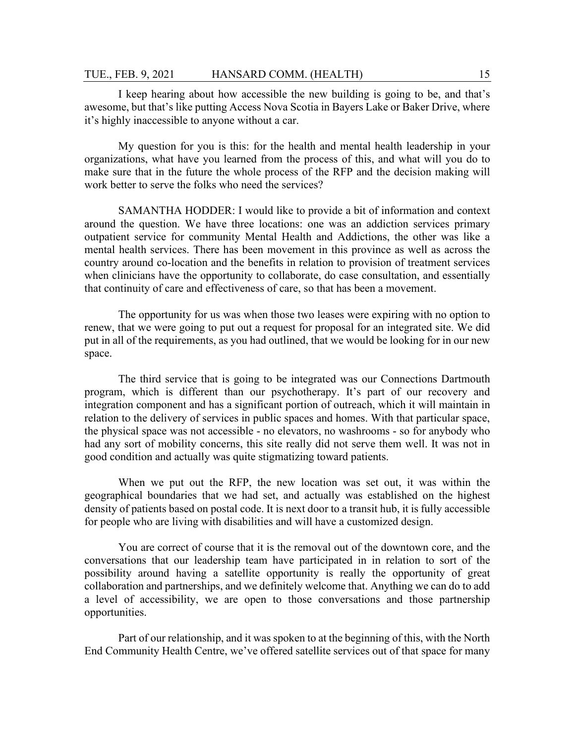I keep hearing about how accessible the new building is going to be, and that's awesome, but that's like putting Access Nova Scotia in Bayers Lake or Baker Drive, where it's highly inaccessible to anyone without a car.

My question for you is this: for the health and mental health leadership in your organizations, what have you learned from the process of this, and what will you do to make sure that in the future the whole process of the RFP and the decision making will work better to serve the folks who need the services?

SAMANTHA HODDER: I would like to provide a bit of information and context around the question. We have three locations: one was an addiction services primary outpatient service for community Mental Health and Addictions, the other was like a mental health services. There has been movement in this province as well as across the country around co-location and the benefits in relation to provision of treatment services when clinicians have the opportunity to collaborate, do case consultation, and essentially that continuity of care and effectiveness of care, so that has been a movement.

The opportunity for us was when those two leases were expiring with no option to renew, that we were going to put out a request for proposal for an integrated site. We did put in all of the requirements, as you had outlined, that we would be looking for in our new space.

The third service that is going to be integrated was our Connections Dartmouth program, which is different than our psychotherapy. It's part of our recovery and integration component and has a significant portion of outreach, which it will maintain in relation to the delivery of services in public spaces and homes. With that particular space, the physical space was not accessible - no elevators, no washrooms - so for anybody who had any sort of mobility concerns, this site really did not serve them well. It was not in good condition and actually was quite stigmatizing toward patients.

When we put out the RFP, the new location was set out, it was within the geographical boundaries that we had set, and actually was established on the highest density of patients based on postal code. It is next door to a transit hub, it is fully accessible for people who are living with disabilities and will have a customized design.

You are correct of course that it is the removal out of the downtown core, and the conversations that our leadership team have participated in in relation to sort of the possibility around having a satellite opportunity is really the opportunity of great collaboration and partnerships, and we definitely welcome that. Anything we can do to add a level of accessibility, we are open to those conversations and those partnership opportunities.

Part of our relationship, and it was spoken to at the beginning of this, with the North End Community Health Centre, we've offered satellite services out of that space for many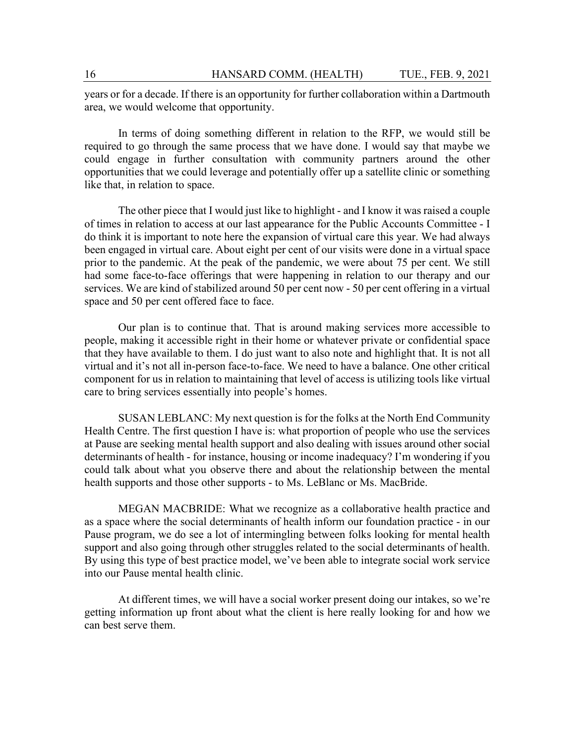years or for a decade. If there is an opportunity for further collaboration within a Dartmouth area, we would welcome that opportunity.

In terms of doing something different in relation to the RFP, we would still be required to go through the same process that we have done. I would say that maybe we could engage in further consultation with community partners around the other opportunities that we could leverage and potentially offer up a satellite clinic or something like that, in relation to space.

The other piece that I would just like to highlight - and I know it was raised a couple of times in relation to access at our last appearance for the Public Accounts Committee - I do think it is important to note here the expansion of virtual care this year. We had always been engaged in virtual care. About eight per cent of our visits were done in a virtual space prior to the pandemic. At the peak of the pandemic, we were about 75 per cent. We still had some face-to-face offerings that were happening in relation to our therapy and our services. We are kind of stabilized around 50 per cent now - 50 per cent offering in a virtual space and 50 per cent offered face to face.

Our plan is to continue that. That is around making services more accessible to people, making it accessible right in their home or whatever private or confidential space that they have available to them. I do just want to also note and highlight that. It is not all virtual and it's not all in-person face-to-face. We need to have a balance. One other critical component for us in relation to maintaining that level of access is utilizing tools like virtual care to bring services essentially into people's homes.

SUSAN LEBLANC: My next question is for the folks at the North End Community Health Centre. The first question I have is: what proportion of people who use the services at Pause are seeking mental health support and also dealing with issues around other social determinants of health - for instance, housing or income inadequacy? I'm wondering if you could talk about what you observe there and about the relationship between the mental health supports and those other supports - to Ms. LeBlanc or Ms. MacBride.

MEGAN MACBRIDE: What we recognize as a collaborative health practice and as a space where the social determinants of health inform our foundation practice - in our Pause program, we do see a lot of intermingling between folks looking for mental health support and also going through other struggles related to the social determinants of health. By using this type of best practice model, we've been able to integrate social work service into our Pause mental health clinic.

At different times, we will have a social worker present doing our intakes, so we're getting information up front about what the client is here really looking for and how we can best serve them.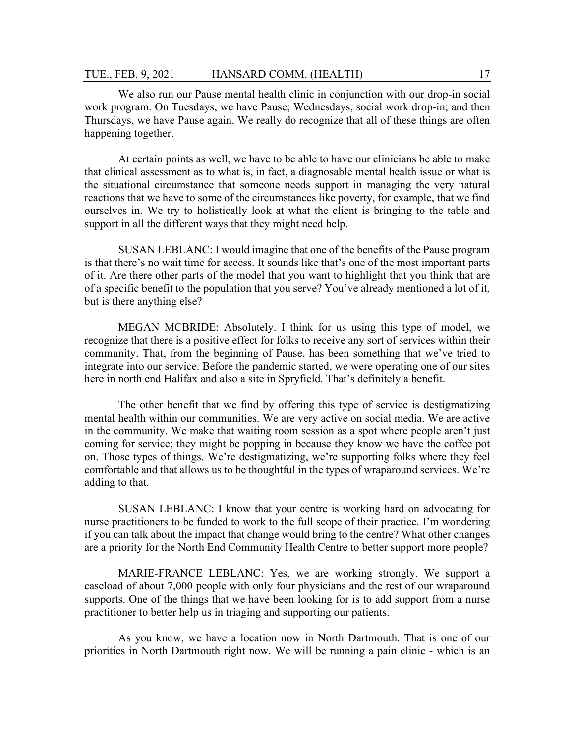We also run our Pause mental health clinic in conjunction with our drop-in social work program. On Tuesdays, we have Pause; Wednesdays, social work drop-in; and then Thursdays, we have Pause again. We really do recognize that all of these things are often happening together.

At certain points as well, we have to be able to have our clinicians be able to make that clinical assessment as to what is, in fact, a diagnosable mental health issue or what is the situational circumstance that someone needs support in managing the very natural reactions that we have to some of the circumstances like poverty, for example, that we find ourselves in. We try to holistically look at what the client is bringing to the table and support in all the different ways that they might need help.

SUSAN LEBLANC: I would imagine that one of the benefits of the Pause program is that there's no wait time for access. It sounds like that's one of the most important parts of it. Are there other parts of the model that you want to highlight that you think that are of a specific benefit to the population that you serve? You've already mentioned a lot of it, but is there anything else?

MEGAN MCBRIDE: Absolutely. I think for us using this type of model, we recognize that there is a positive effect for folks to receive any sort of services within their community. That, from the beginning of Pause, has been something that we've tried to integrate into our service. Before the pandemic started, we were operating one of our sites here in north end Halifax and also a site in Spryfield. That's definitely a benefit.

The other benefit that we find by offering this type of service is destigmatizing mental health within our communities. We are very active on social media. We are active in the community. We make that waiting room session as a spot where people aren't just coming for service; they might be popping in because they know we have the coffee pot on. Those types of things. We're destigmatizing, we're supporting folks where they feel comfortable and that allows us to be thoughtful in the types of wraparound services. We're adding to that.

SUSAN LEBLANC: I know that your centre is working hard on advocating for nurse practitioners to be funded to work to the full scope of their practice. I'm wondering if you can talk about the impact that change would bring to the centre? What other changes are a priority for the North End Community Health Centre to better support more people?

MARIE-FRANCE LEBLANC: Yes, we are working strongly. We support a caseload of about 7,000 people with only four physicians and the rest of our wraparound supports. One of the things that we have been looking for is to add support from a nurse practitioner to better help us in triaging and supporting our patients.

As you know, we have a location now in North Dartmouth. That is one of our priorities in North Dartmouth right now. We will be running a pain clinic - which is an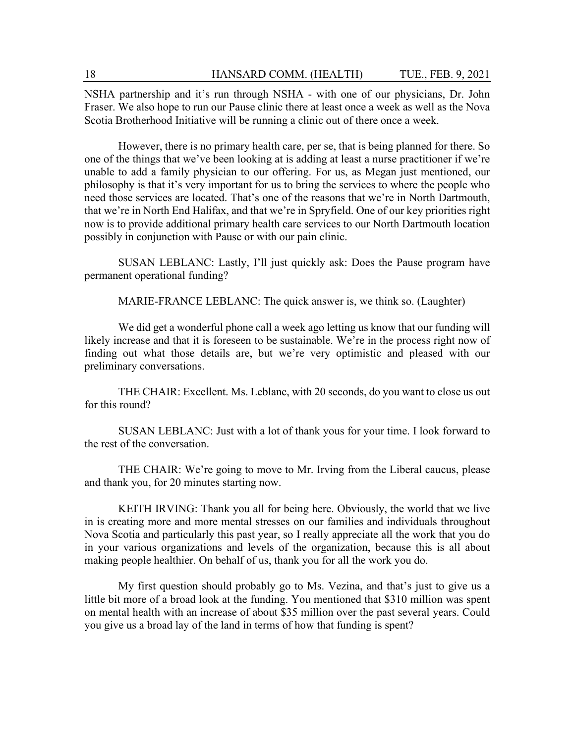NSHA partnership and it's run through NSHA - with one of our physicians, Dr. John Fraser. We also hope to run our Pause clinic there at least once a week as well as the Nova Scotia Brotherhood Initiative will be running a clinic out of there once a week.

However, there is no primary health care, per se, that is being planned for there. So one of the things that we've been looking at is adding at least a nurse practitioner if we're unable to add a family physician to our offering. For us, as Megan just mentioned, our philosophy is that it's very important for us to bring the services to where the people who need those services are located. That's one of the reasons that we're in North Dartmouth, that we're in North End Halifax, and that we're in Spryfield. One of our key priorities right now is to provide additional primary health care services to our North Dartmouth location possibly in conjunction with Pause or with our pain clinic.

SUSAN LEBLANC: Lastly, I'll just quickly ask: Does the Pause program have permanent operational funding?

MARIE-FRANCE LEBLANC: The quick answer is, we think so. (Laughter)

We did get a wonderful phone call a week ago letting us know that our funding will likely increase and that it is foreseen to be sustainable. We're in the process right now of finding out what those details are, but we're very optimistic and pleased with our preliminary conversations.

THE CHAIR: Excellent. Ms. Leblanc, with 20 seconds, do you want to close us out for this round?

SUSAN LEBLANC: Just with a lot of thank yous for your time. I look forward to the rest of the conversation.

THE CHAIR: We're going to move to Mr. Irving from the Liberal caucus, please and thank you, for 20 minutes starting now.

KEITH IRVING: Thank you all for being here. Obviously, the world that we live in is creating more and more mental stresses on our families and individuals throughout Nova Scotia and particularly this past year, so I really appreciate all the work that you do in your various organizations and levels of the organization, because this is all about making people healthier. On behalf of us, thank you for all the work you do.

My first question should probably go to Ms. Vezina, and that's just to give us a little bit more of a broad look at the funding. You mentioned that \$310 million was spent on mental health with an increase of about \$35 million over the past several years. Could you give us a broad lay of the land in terms of how that funding is spent?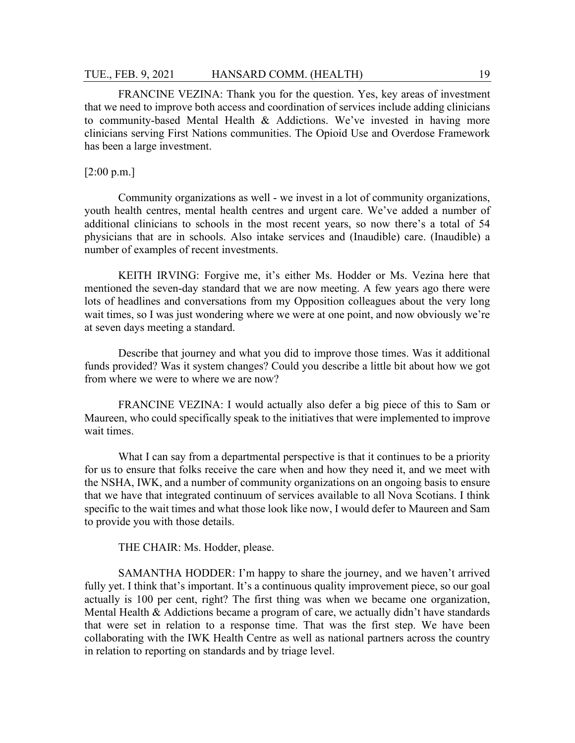FRANCINE VEZINA: Thank you for the question. Yes, key areas of investment that we need to improve both access and coordination of services include adding clinicians to community-based Mental Health & Addictions. We've invested in having more clinicians serving First Nations communities. The Opioid Use and Overdose Framework has been a large investment.

## [2:00 p.m.]

Community organizations as well - we invest in a lot of community organizations, youth health centres, mental health centres and urgent care. We've added a number of additional clinicians to schools in the most recent years, so now there's a total of 54 physicians that are in schools. Also intake services and (Inaudible) care. (Inaudible) a number of examples of recent investments.

KEITH IRVING: Forgive me, it's either Ms. Hodder or Ms. Vezina here that mentioned the seven-day standard that we are now meeting. A few years ago there were lots of headlines and conversations from my Opposition colleagues about the very long wait times, so I was just wondering where we were at one point, and now obviously we're at seven days meeting a standard.

Describe that journey and what you did to improve those times. Was it additional funds provided? Was it system changes? Could you describe a little bit about how we got from where we were to where we are now?

FRANCINE VEZINA: I would actually also defer a big piece of this to Sam or Maureen, who could specifically speak to the initiatives that were implemented to improve wait times.

What I can say from a departmental perspective is that it continues to be a priority for us to ensure that folks receive the care when and how they need it, and we meet with the NSHA, IWK, and a number of community organizations on an ongoing basis to ensure that we have that integrated continuum of services available to all Nova Scotians. I think specific to the wait times and what those look like now, I would defer to Maureen and Sam to provide you with those details.

THE CHAIR: Ms. Hodder, please.

SAMANTHA HODDER: I'm happy to share the journey, and we haven't arrived fully yet. I think that's important. It's a continuous quality improvement piece, so our goal actually is 100 per cent, right? The first thing was when we became one organization, Mental Health & Addictions became a program of care, we actually didn't have standards that were set in relation to a response time. That was the first step. We have been collaborating with the IWK Health Centre as well as national partners across the country in relation to reporting on standards and by triage level.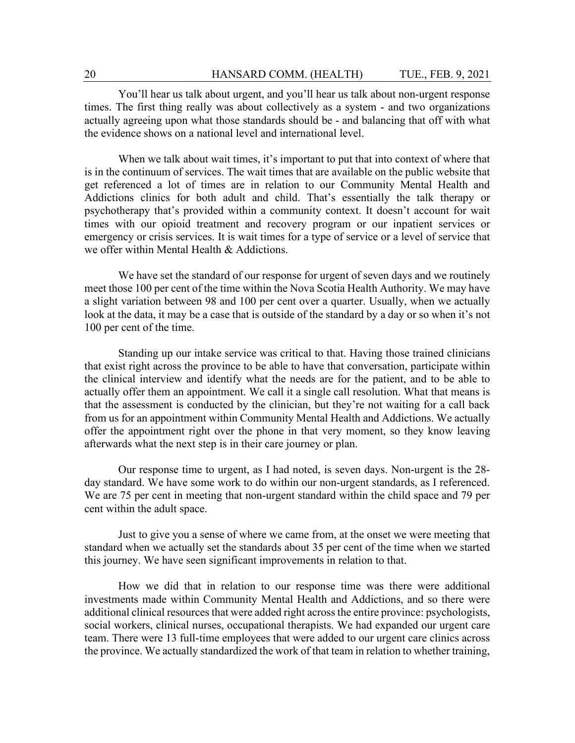You'll hear us talk about urgent, and you'll hear us talk about non-urgent response times. The first thing really was about collectively as a system - and two organizations actually agreeing upon what those standards should be - and balancing that off with what the evidence shows on a national level and international level.

When we talk about wait times, it's important to put that into context of where that is in the continuum of services. The wait times that are available on the public website that get referenced a lot of times are in relation to our Community Mental Health and Addictions clinics for both adult and child. That's essentially the talk therapy or psychotherapy that's provided within a community context. It doesn't account for wait times with our opioid treatment and recovery program or our inpatient services or emergency or crisis services. It is wait times for a type of service or a level of service that we offer within Mental Health & Addictions.

We have set the standard of our response for urgent of seven days and we routinely meet those 100 per cent of the time within the Nova Scotia Health Authority. We may have a slight variation between 98 and 100 per cent over a quarter. Usually, when we actually look at the data, it may be a case that is outside of the standard by a day or so when it's not 100 per cent of the time.

Standing up our intake service was critical to that. Having those trained clinicians that exist right across the province to be able to have that conversation, participate within the clinical interview and identify what the needs are for the patient, and to be able to actually offer them an appointment. We call it a single call resolution. What that means is that the assessment is conducted by the clinician, but they're not waiting for a call back from us for an appointment within Community Mental Health and Addictions. We actually offer the appointment right over the phone in that very moment, so they know leaving afterwards what the next step is in their care journey or plan.

Our response time to urgent, as I had noted, is seven days. Non-urgent is the 28 day standard. We have some work to do within our non-urgent standards, as I referenced. We are 75 per cent in meeting that non-urgent standard within the child space and 79 per cent within the adult space.

Just to give you a sense of where we came from, at the onset we were meeting that standard when we actually set the standards about 35 per cent of the time when we started this journey. We have seen significant improvements in relation to that.

How we did that in relation to our response time was there were additional investments made within Community Mental Health and Addictions, and so there were additional clinical resources that were added right across the entire province: psychologists, social workers, clinical nurses, occupational therapists. We had expanded our urgent care team. There were 13 full-time employees that were added to our urgent care clinics across the province. We actually standardized the work of that team in relation to whether training,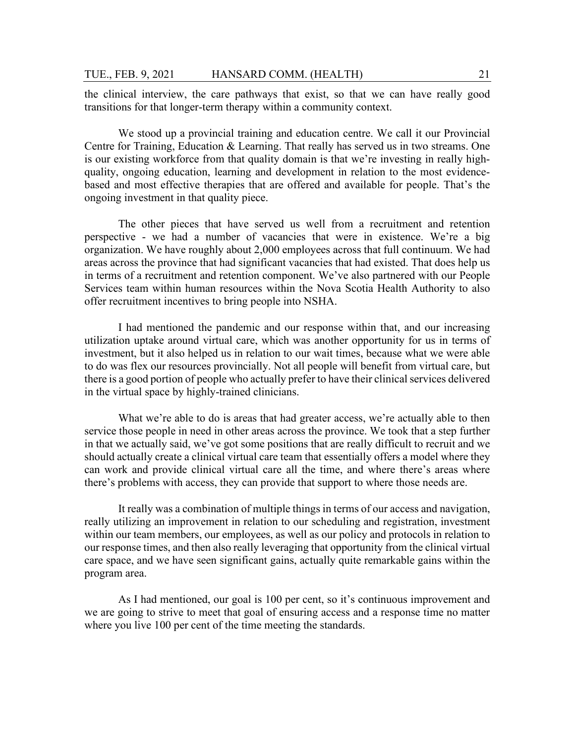the clinical interview, the care pathways that exist, so that we can have really good transitions for that longer-term therapy within a community context.

We stood up a provincial training and education centre. We call it our Provincial Centre for Training, Education & Learning. That really has served us in two streams. One is our existing workforce from that quality domain is that we're investing in really highquality, ongoing education, learning and development in relation to the most evidencebased and most effective therapies that are offered and available for people. That's the ongoing investment in that quality piece.

The other pieces that have served us well from a recruitment and retention perspective - we had a number of vacancies that were in existence. We're a big organization. We have roughly about 2,000 employees across that full continuum. We had areas across the province that had significant vacancies that had existed. That does help us in terms of a recruitment and retention component. We've also partnered with our People Services team within human resources within the Nova Scotia Health Authority to also offer recruitment incentives to bring people into NSHA.

I had mentioned the pandemic and our response within that, and our increasing utilization uptake around virtual care, which was another opportunity for us in terms of investment, but it also helped us in relation to our wait times, because what we were able to do was flex our resources provincially. Not all people will benefit from virtual care, but there is a good portion of people who actually prefer to have their clinical services delivered in the virtual space by highly-trained clinicians.

What we're able to do is areas that had greater access, we're actually able to then service those people in need in other areas across the province. We took that a step further in that we actually said, we've got some positions that are really difficult to recruit and we should actually create a clinical virtual care team that essentially offers a model where they can work and provide clinical virtual care all the time, and where there's areas where there's problems with access, they can provide that support to where those needs are.

It really was a combination of multiple things in terms of our access and navigation, really utilizing an improvement in relation to our scheduling and registration, investment within our team members, our employees, as well as our policy and protocols in relation to our response times, and then also really leveraging that opportunity from the clinical virtual care space, and we have seen significant gains, actually quite remarkable gains within the program area.

As I had mentioned, our goal is 100 per cent, so it's continuous improvement and we are going to strive to meet that goal of ensuring access and a response time no matter where you live 100 per cent of the time meeting the standards.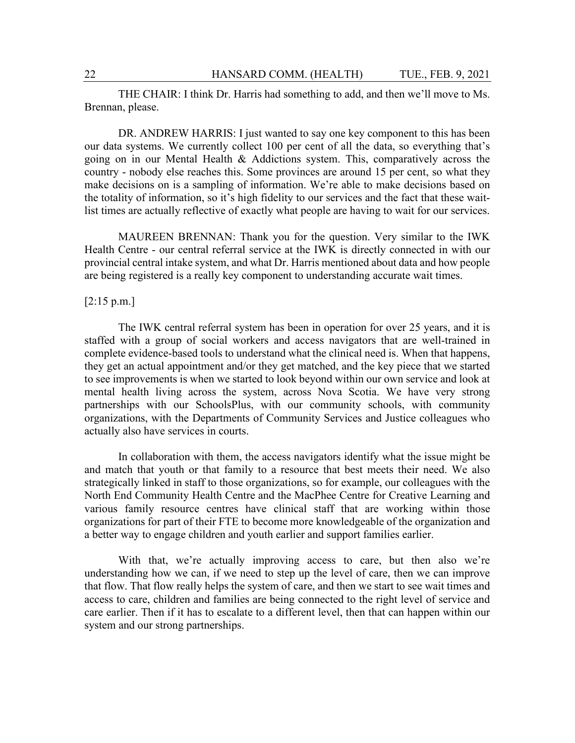THE CHAIR: I think Dr. Harris had something to add, and then we'll move to Ms. Brennan, please.

DR. ANDREW HARRIS: I just wanted to say one key component to this has been our data systems. We currently collect 100 per cent of all the data, so everything that's going on in our Mental Health & Addictions system. This, comparatively across the country - nobody else reaches this. Some provinces are around 15 per cent, so what they make decisions on is a sampling of information. We're able to make decisions based on the totality of information, so it's high fidelity to our services and the fact that these waitlist times are actually reflective of exactly what people are having to wait for our services.

MAUREEN BRENNAN: Thank you for the question. Very similar to the IWK Health Centre - our central referral service at the IWK is directly connected in with our provincial central intake system, and what Dr. Harris mentioned about data and how people are being registered is a really key component to understanding accurate wait times.

#### [2:15 p.m.]

The IWK central referral system has been in operation for over 25 years, and it is staffed with a group of social workers and access navigators that are well-trained in complete evidence-based tools to understand what the clinical need is. When that happens, they get an actual appointment and/or they get matched, and the key piece that we started to see improvements is when we started to look beyond within our own service and look at mental health living across the system, across Nova Scotia. We have very strong partnerships with our SchoolsPlus, with our community schools, with community organizations, with the Departments of Community Services and Justice colleagues who actually also have services in courts.

In collaboration with them, the access navigators identify what the issue might be and match that youth or that family to a resource that best meets their need. We also strategically linked in staff to those organizations, so for example, our colleagues with the North End Community Health Centre and the MacPhee Centre for Creative Learning and various family resource centres have clinical staff that are working within those organizations for part of their FTE to become more knowledgeable of the organization and a better way to engage children and youth earlier and support families earlier.

With that, we're actually improving access to care, but then also we're understanding how we can, if we need to step up the level of care, then we can improve that flow. That flow really helps the system of care, and then we start to see wait times and access to care, children and families are being connected to the right level of service and care earlier. Then if it has to escalate to a different level, then that can happen within our system and our strong partnerships.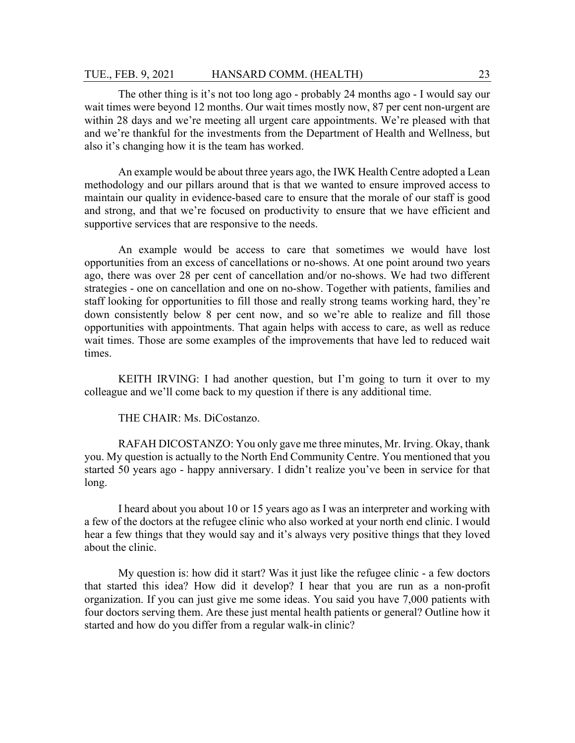The other thing is it's not too long ago - probably 24 months ago - I would say our wait times were beyond 12 months. Our wait times mostly now, 87 per cent non-urgent are within 28 days and we're meeting all urgent care appointments. We're pleased with that and we're thankful for the investments from the Department of Health and Wellness, but also it's changing how it is the team has worked.

An example would be about three years ago, the IWK Health Centre adopted a Lean methodology and our pillars around that is that we wanted to ensure improved access to maintain our quality in evidence-based care to ensure that the morale of our staff is good and strong, and that we're focused on productivity to ensure that we have efficient and supportive services that are responsive to the needs.

An example would be access to care that sometimes we would have lost opportunities from an excess of cancellations or no-shows. At one point around two years ago, there was over 28 per cent of cancellation and/or no-shows. We had two different strategies - one on cancellation and one on no-show. Together with patients, families and staff looking for opportunities to fill those and really strong teams working hard, they're down consistently below 8 per cent now, and so we're able to realize and fill those opportunities with appointments. That again helps with access to care, as well as reduce wait times. Those are some examples of the improvements that have led to reduced wait times.

KEITH IRVING: I had another question, but I'm going to turn it over to my colleague and we'll come back to my question if there is any additional time.

THE CHAIR: Ms. DiCostanzo.

RAFAH DICOSTANZO: You only gave me three minutes, Mr. Irving. Okay, thank you. My question is actually to the North End Community Centre. You mentioned that you started 50 years ago - happy anniversary. I didn't realize you've been in service for that long.

I heard about you about 10 or 15 years ago as I was an interpreter and working with a few of the doctors at the refugee clinic who also worked at your north end clinic. I would hear a few things that they would say and it's always very positive things that they loved about the clinic.

My question is: how did it start? Was it just like the refugee clinic - a few doctors that started this idea? How did it develop? I hear that you are run as a non-profit organization. If you can just give me some ideas. You said you have 7,000 patients with four doctors serving them. Are these just mental health patients or general? Outline how it started and how do you differ from a regular walk-in clinic?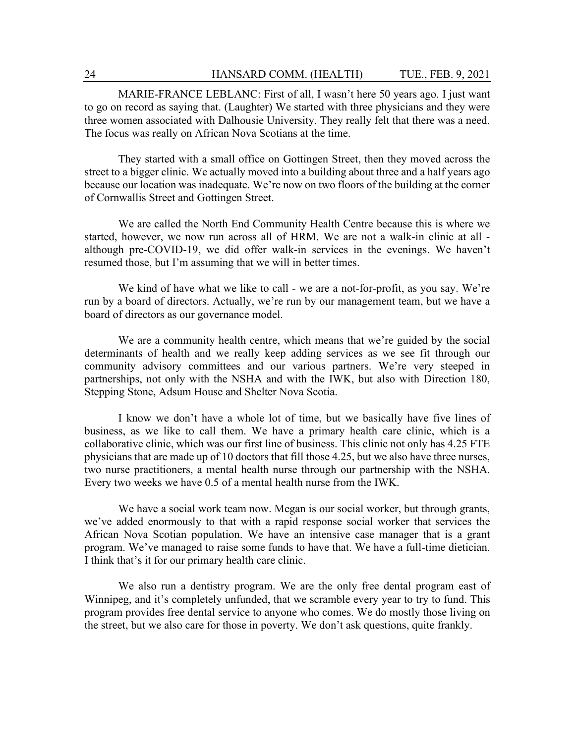MARIE-FRANCE LEBLANC: First of all, I wasn't here 50 years ago. I just want to go on record as saying that. (Laughter) We started with three physicians and they were three women associated with Dalhousie University. They really felt that there was a need. The focus was really on African Nova Scotians at the time.

They started with a small office on Gottingen Street, then they moved across the street to a bigger clinic. We actually moved into a building about three and a half years ago because our location was inadequate. We're now on two floors of the building at the corner of Cornwallis Street and Gottingen Street.

We are called the North End Community Health Centre because this is where we started, however, we now run across all of HRM. We are not a walk-in clinic at all although pre-COVID-19, we did offer walk-in services in the evenings. We haven't resumed those, but I'm assuming that we will in better times.

We kind of have what we like to call - we are a not-for-profit, as you say. We're run by a board of directors. Actually, we're run by our management team, but we have a board of directors as our governance model.

We are a community health centre, which means that we're guided by the social determinants of health and we really keep adding services as we see fit through our community advisory committees and our various partners. We're very steeped in partnerships, not only with the NSHA and with the IWK, but also with Direction 180, Stepping Stone, Adsum House and Shelter Nova Scotia.

I know we don't have a whole lot of time, but we basically have five lines of business, as we like to call them. We have a primary health care clinic, which is a collaborative clinic, which was our first line of business. This clinic not only has 4.25 FTE physicians that are made up of 10 doctors that fill those 4.25, but we also have three nurses, two nurse practitioners, a mental health nurse through our partnership with the NSHA. Every two weeks we have 0.5 of a mental health nurse from the IWK.

We have a social work team now. Megan is our social worker, but through grants, we've added enormously to that with a rapid response social worker that services the African Nova Scotian population. We have an intensive case manager that is a grant program. We've managed to raise some funds to have that. We have a full-time dietician. I think that's it for our primary health care clinic.

We also run a dentistry program. We are the only free dental program east of Winnipeg, and it's completely unfunded, that we scramble every year to try to fund. This program provides free dental service to anyone who comes. We do mostly those living on the street, but we also care for those in poverty. We don't ask questions, quite frankly.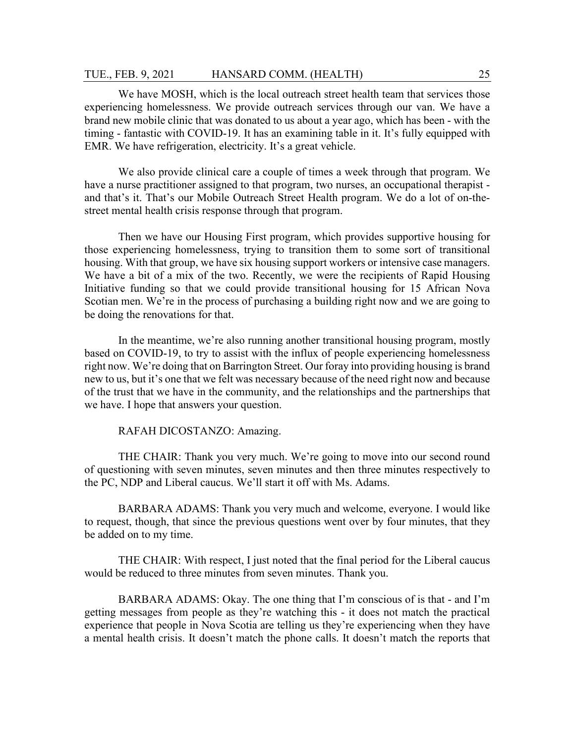We have MOSH, which is the local outreach street health team that services those experiencing homelessness. We provide outreach services through our van. We have a brand new mobile clinic that was donated to us about a year ago, which has been - with the timing - fantastic with COVID-19. It has an examining table in it. It's fully equipped with EMR. We have refrigeration, electricity. It's a great vehicle.

We also provide clinical care a couple of times a week through that program. We have a nurse practitioner assigned to that program, two nurses, an occupational therapist and that's it. That's our Mobile Outreach Street Health program. We do a lot of on-thestreet mental health crisis response through that program.

Then we have our Housing First program, which provides supportive housing for those experiencing homelessness, trying to transition them to some sort of transitional housing. With that group, we have six housing support workers or intensive case managers. We have a bit of a mix of the two. Recently, we were the recipients of Rapid Housing Initiative funding so that we could provide transitional housing for 15 African Nova Scotian men. We're in the process of purchasing a building right now and we are going to be doing the renovations for that.

In the meantime, we're also running another transitional housing program, mostly based on COVID-19, to try to assist with the influx of people experiencing homelessness right now. We're doing that on Barrington Street. Our foray into providing housing is brand new to us, but it's one that we felt was necessary because of the need right now and because of the trust that we have in the community, and the relationships and the partnerships that we have. I hope that answers your question.

RAFAH DICOSTANZO: Amazing.

THE CHAIR: Thank you very much. We're going to move into our second round of questioning with seven minutes, seven minutes and then three minutes respectively to the PC, NDP and Liberal caucus. We'll start it off with Ms. Adams.

BARBARA ADAMS: Thank you very much and welcome, everyone. I would like to request, though, that since the previous questions went over by four minutes, that they be added on to my time.

THE CHAIR: With respect, I just noted that the final period for the Liberal caucus would be reduced to three minutes from seven minutes. Thank you.

BARBARA ADAMS: Okay. The one thing that I'm conscious of is that - and I'm getting messages from people as they're watching this - it does not match the practical experience that people in Nova Scotia are telling us they're experiencing when they have a mental health crisis. It doesn't match the phone calls. It doesn't match the reports that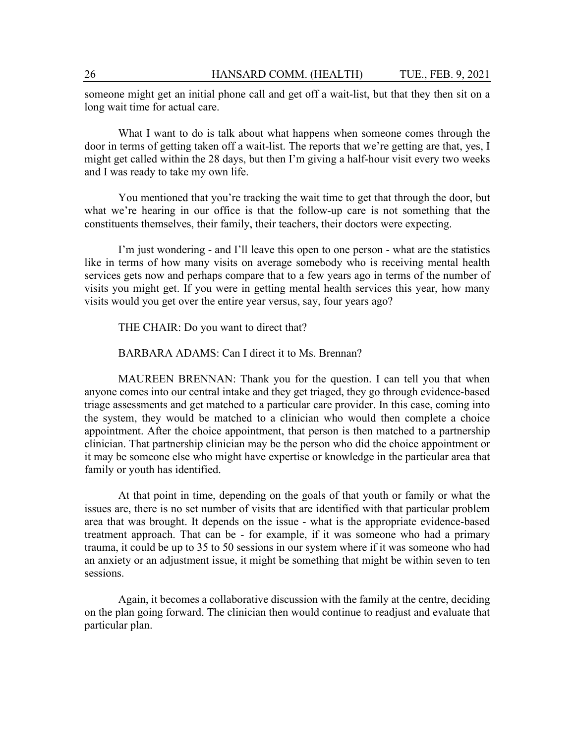someone might get an initial phone call and get off a wait-list, but that they then sit on a long wait time for actual care.

What I want to do is talk about what happens when someone comes through the door in terms of getting taken off a wait-list. The reports that we're getting are that, yes, I might get called within the 28 days, but then I'm giving a half-hour visit every two weeks and I was ready to take my own life.

You mentioned that you're tracking the wait time to get that through the door, but what we're hearing in our office is that the follow-up care is not something that the constituents themselves, their family, their teachers, their doctors were expecting.

I'm just wondering - and I'll leave this open to one person - what are the statistics like in terms of how many visits on average somebody who is receiving mental health services gets now and perhaps compare that to a few years ago in terms of the number of visits you might get. If you were in getting mental health services this year, how many visits would you get over the entire year versus, say, four years ago?

THE CHAIR: Do you want to direct that?

BARBARA ADAMS: Can I direct it to Ms. Brennan?

MAUREEN BRENNAN: Thank you for the question. I can tell you that when anyone comes into our central intake and they get triaged, they go through evidence-based triage assessments and get matched to a particular care provider. In this case, coming into the system, they would be matched to a clinician who would then complete a choice appointment. After the choice appointment, that person is then matched to a partnership clinician. That partnership clinician may be the person who did the choice appointment or it may be someone else who might have expertise or knowledge in the particular area that family or youth has identified.

At that point in time, depending on the goals of that youth or family or what the issues are, there is no set number of visits that are identified with that particular problem area that was brought. It depends on the issue - what is the appropriate evidence-based treatment approach. That can be - for example, if it was someone who had a primary trauma, it could be up to 35 to 50 sessions in our system where if it was someone who had an anxiety or an adjustment issue, it might be something that might be within seven to ten sessions.

Again, it becomes a collaborative discussion with the family at the centre, deciding on the plan going forward. The clinician then would continue to readjust and evaluate that particular plan.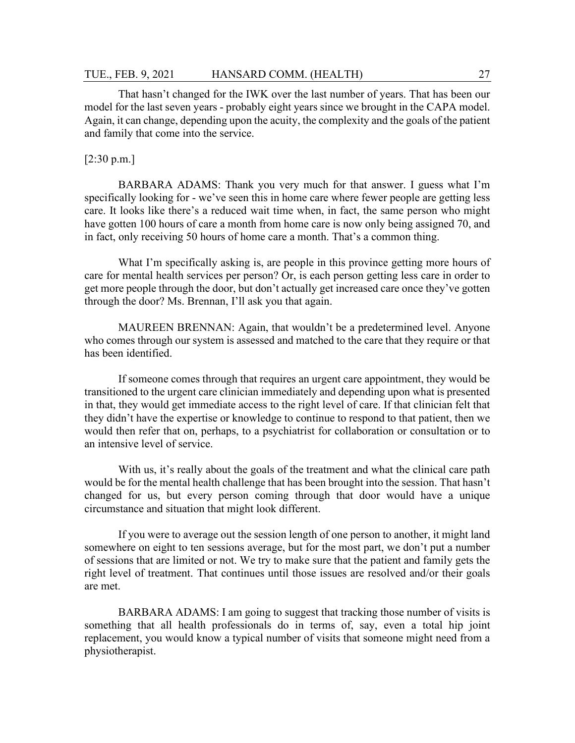#### TUE., FEB. 9, 2021 HANSARD COMM. (HEALTH) 27

That hasn't changed for the IWK over the last number of years. That has been our model for the last seven years - probably eight years since we brought in the CAPA model. Again, it can change, depending upon the acuity, the complexity and the goals of the patient and family that come into the service.

#### [2:30 p.m.]

BARBARA ADAMS: Thank you very much for that answer. I guess what I'm specifically looking for - we've seen this in home care where fewer people are getting less care. It looks like there's a reduced wait time when, in fact, the same person who might have gotten 100 hours of care a month from home care is now only being assigned 70, and in fact, only receiving 50 hours of home care a month. That's a common thing.

What I'm specifically asking is, are people in this province getting more hours of care for mental health services per person? Or, is each person getting less care in order to get more people through the door, but don't actually get increased care once they've gotten through the door? Ms. Brennan, I'll ask you that again.

MAUREEN BRENNAN: Again, that wouldn't be a predetermined level. Anyone who comes through our system is assessed and matched to the care that they require or that has been identified.

If someone comes through that requires an urgent care appointment, they would be transitioned to the urgent care clinician immediately and depending upon what is presented in that, they would get immediate access to the right level of care. If that clinician felt that they didn't have the expertise or knowledge to continue to respond to that patient, then we would then refer that on, perhaps, to a psychiatrist for collaboration or consultation or to an intensive level of service.

With us, it's really about the goals of the treatment and what the clinical care path would be for the mental health challenge that has been brought into the session. That hasn't changed for us, but every person coming through that door would have a unique circumstance and situation that might look different.

If you were to average out the session length of one person to another, it might land somewhere on eight to ten sessions average, but for the most part, we don't put a number of sessions that are limited or not. We try to make sure that the patient and family gets the right level of treatment. That continues until those issues are resolved and/or their goals are met.

BARBARA ADAMS: I am going to suggest that tracking those number of visits is something that all health professionals do in terms of, say, even a total hip joint replacement, you would know a typical number of visits that someone might need from a physiotherapist.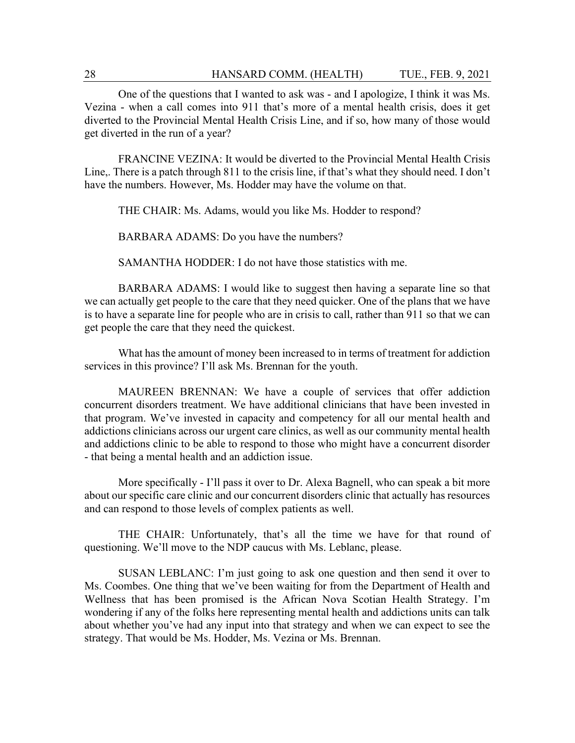One of the questions that I wanted to ask was - and I apologize, I think it was Ms. Vezina - when a call comes into 911 that's more of a mental health crisis, does it get diverted to the Provincial Mental Health Crisis Line, and if so, how many of those would get diverted in the run of a year?

FRANCINE VEZINA: It would be diverted to the Provincial Mental Health Crisis Line,. There is a patch through 811 to the crisis line, if that's what they should need. I don't have the numbers. However, Ms. Hodder may have the volume on that.

THE CHAIR: Ms. Adams, would you like Ms. Hodder to respond?

BARBARA ADAMS: Do you have the numbers?

SAMANTHA HODDER: I do not have those statistics with me.

BARBARA ADAMS: I would like to suggest then having a separate line so that we can actually get people to the care that they need quicker. One of the plans that we have is to have a separate line for people who are in crisis to call, rather than 911 so that we can get people the care that they need the quickest.

What has the amount of money been increased to in terms of treatment for addiction services in this province? I'll ask Ms. Brennan for the youth.

MAUREEN BRENNAN: We have a couple of services that offer addiction concurrent disorders treatment. We have additional clinicians that have been invested in that program. We've invested in capacity and competency for all our mental health and addictions clinicians across our urgent care clinics, as well as our community mental health and addictions clinic to be able to respond to those who might have a concurrent disorder - that being a mental health and an addiction issue.

More specifically - I'll pass it over to Dr. Alexa Bagnell, who can speak a bit more about our specific care clinic and our concurrent disorders clinic that actually has resources and can respond to those levels of complex patients as well.

THE CHAIR: Unfortunately, that's all the time we have for that round of questioning. We'll move to the NDP caucus with Ms. Leblanc, please.

SUSAN LEBLANC: I'm just going to ask one question and then send it over to Ms. Coombes. One thing that we've been waiting for from the Department of Health and Wellness that has been promised is the African Nova Scotian Health Strategy. I'm wondering if any of the folks here representing mental health and addictions units can talk about whether you've had any input into that strategy and when we can expect to see the strategy. That would be Ms. Hodder, Ms. Vezina or Ms. Brennan.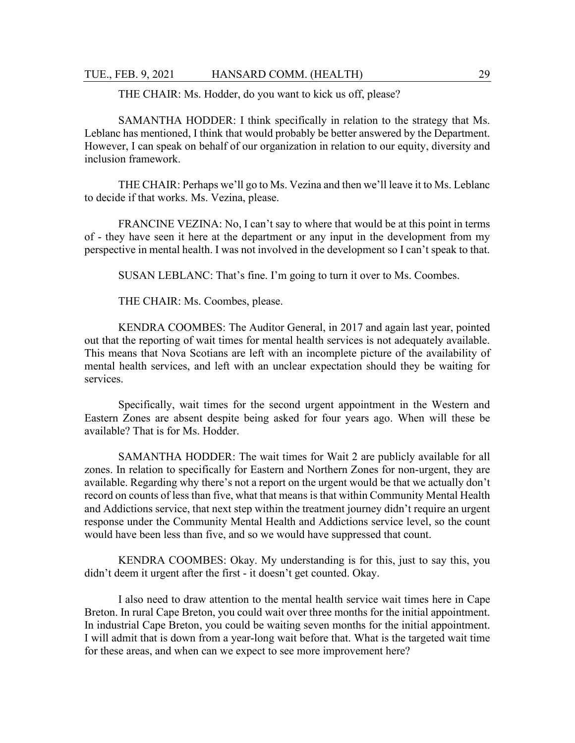THE CHAIR: Ms. Hodder, do you want to kick us off, please?

SAMANTHA HODDER: I think specifically in relation to the strategy that Ms. Leblanc has mentioned, I think that would probably be better answered by the Department. However, I can speak on behalf of our organization in relation to our equity, diversity and inclusion framework.

THE CHAIR: Perhaps we'll go to Ms. Vezina and then we'll leave it to Ms. Leblanc to decide if that works. Ms. Vezina, please.

FRANCINE VEZINA: No, I can't say to where that would be at this point in terms of - they have seen it here at the department or any input in the development from my perspective in mental health. I was not involved in the development so I can't speak to that.

SUSAN LEBLANC: That's fine. I'm going to turn it over to Ms. Coombes.

THE CHAIR: Ms. Coombes, please.

KENDRA COOMBES: The Auditor General, in 2017 and again last year, pointed out that the reporting of wait times for mental health services is not adequately available. This means that Nova Scotians are left with an incomplete picture of the availability of mental health services, and left with an unclear expectation should they be waiting for services.

Specifically, wait times for the second urgent appointment in the Western and Eastern Zones are absent despite being asked for four years ago. When will these be available? That is for Ms. Hodder.

SAMANTHA HODDER: The wait times for Wait 2 are publicly available for all zones. In relation to specifically for Eastern and Northern Zones for non-urgent, they are available. Regarding why there's not a report on the urgent would be that we actually don't record on counts of less than five, what that means is that within Community Mental Health and Addictions service, that next step within the treatment journey didn't require an urgent response under the Community Mental Health and Addictions service level, so the count would have been less than five, and so we would have suppressed that count.

KENDRA COOMBES: Okay. My understanding is for this, just to say this, you didn't deem it urgent after the first - it doesn't get counted. Okay.

I also need to draw attention to the mental health service wait times here in Cape Breton. In rural Cape Breton, you could wait over three months for the initial appointment. In industrial Cape Breton, you could be waiting seven months for the initial appointment. I will admit that is down from a year-long wait before that. What is the targeted wait time for these areas, and when can we expect to see more improvement here?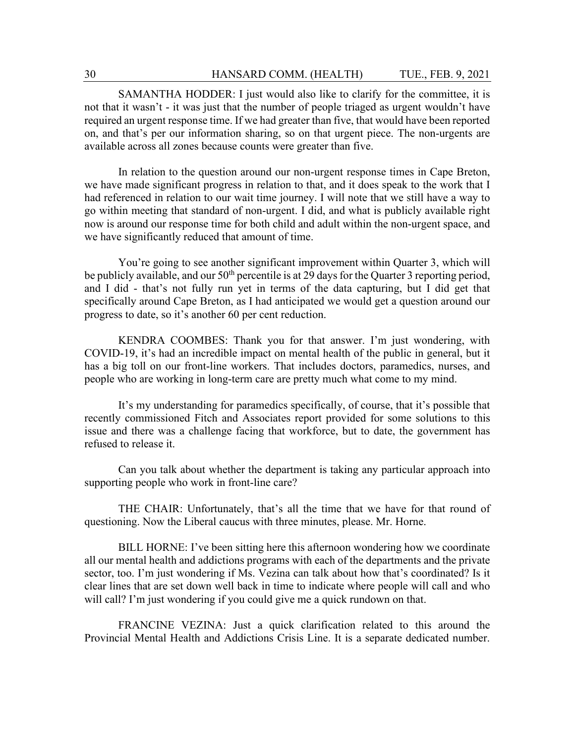SAMANTHA HODDER: I just would also like to clarify for the committee, it is not that it wasn't - it was just that the number of people triaged as urgent wouldn't have required an urgent response time. If we had greater than five, that would have been reported on, and that's per our information sharing, so on that urgent piece. The non-urgents are available across all zones because counts were greater than five.

In relation to the question around our non-urgent response times in Cape Breton, we have made significant progress in relation to that, and it does speak to the work that I had referenced in relation to our wait time journey. I will note that we still have a way to go within meeting that standard of non-urgent. I did, and what is publicly available right now is around our response time for both child and adult within the non-urgent space, and we have significantly reduced that amount of time.

You're going to see another significant improvement within Quarter 3, which will be publicly available, and our 50<sup>th</sup> percentile is at 29 days for the Quarter 3 reporting period, and I did - that's not fully run yet in terms of the data capturing, but I did get that specifically around Cape Breton, as I had anticipated we would get a question around our progress to date, so it's another 60 per cent reduction.

KENDRA COOMBES: Thank you for that answer. I'm just wondering, with COVID-19, it's had an incredible impact on mental health of the public in general, but it has a big toll on our front-line workers. That includes doctors, paramedics, nurses, and people who are working in long-term care are pretty much what come to my mind.

It's my understanding for paramedics specifically, of course, that it's possible that recently commissioned Fitch and Associates report provided for some solutions to this issue and there was a challenge facing that workforce, but to date, the government has refused to release it.

Can you talk about whether the department is taking any particular approach into supporting people who work in front-line care?

THE CHAIR: Unfortunately, that's all the time that we have for that round of questioning. Now the Liberal caucus with three minutes, please. Mr. Horne.

BILL HORNE: I've been sitting here this afternoon wondering how we coordinate all our mental health and addictions programs with each of the departments and the private sector, too. I'm just wondering if Ms. Vezina can talk about how that's coordinated? Is it clear lines that are set down well back in time to indicate where people will call and who will call? I'm just wondering if you could give me a quick rundown on that.

FRANCINE VEZINA: Just a quick clarification related to this around the Provincial Mental Health and Addictions Crisis Line. It is a separate dedicated number.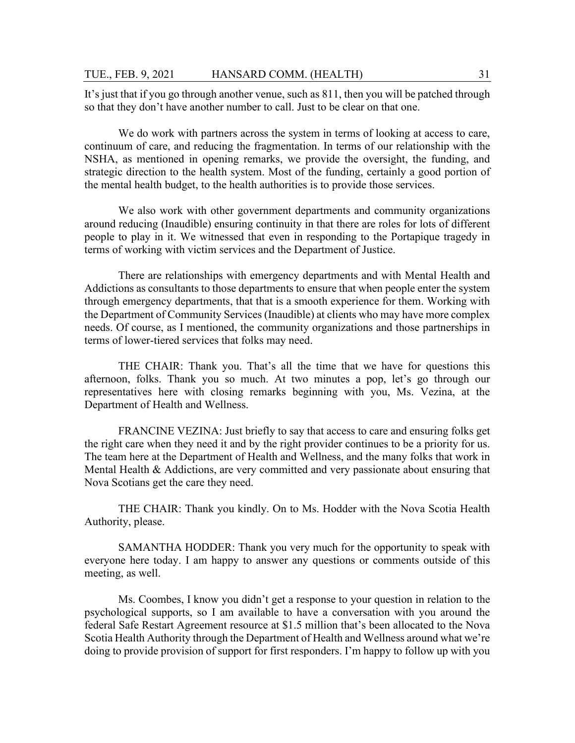It's just that if you go through another venue, such as 811, then you will be patched through so that they don't have another number to call. Just to be clear on that one.

We do work with partners across the system in terms of looking at access to care, continuum of care, and reducing the fragmentation. In terms of our relationship with the NSHA, as mentioned in opening remarks, we provide the oversight, the funding, and strategic direction to the health system. Most of the funding, certainly a good portion of the mental health budget, to the health authorities is to provide those services.

We also work with other government departments and community organizations around reducing (Inaudible) ensuring continuity in that there are roles for lots of different people to play in it. We witnessed that even in responding to the Portapique tragedy in terms of working with victim services and the Department of Justice.

There are relationships with emergency departments and with Mental Health and Addictions as consultants to those departments to ensure that when people enter the system through emergency departments, that that is a smooth experience for them. Working with the Department of Community Services (Inaudible) at clients who may have more complex needs. Of course, as I mentioned, the community organizations and those partnerships in terms of lower-tiered services that folks may need.

THE CHAIR: Thank you. That's all the time that we have for questions this afternoon, folks. Thank you so much. At two minutes a pop, let's go through our representatives here with closing remarks beginning with you, Ms. Vezina, at the Department of Health and Wellness.

FRANCINE VEZINA: Just briefly to say that access to care and ensuring folks get the right care when they need it and by the right provider continues to be a priority for us. The team here at the Department of Health and Wellness, and the many folks that work in Mental Health & Addictions, are very committed and very passionate about ensuring that Nova Scotians get the care they need.

THE CHAIR: Thank you kindly. On to Ms. Hodder with the Nova Scotia Health Authority, please.

SAMANTHA HODDER: Thank you very much for the opportunity to speak with everyone here today. I am happy to answer any questions or comments outside of this meeting, as well.

Ms. Coombes, I know you didn't get a response to your question in relation to the psychological supports, so I am available to have a conversation with you around the federal Safe Restart Agreement resource at \$1.5 million that's been allocated to the Nova Scotia Health Authority through the Department of Health and Wellness around what we're doing to provide provision of support for first responders. I'm happy to follow up with you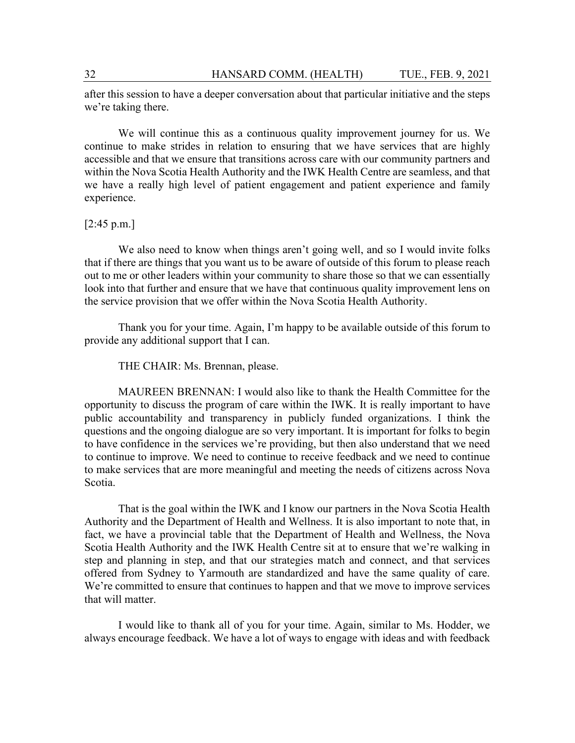after this session to have a deeper conversation about that particular initiative and the steps we're taking there.

We will continue this as a continuous quality improvement journey for us. We continue to make strides in relation to ensuring that we have services that are highly accessible and that we ensure that transitions across care with our community partners and within the Nova Scotia Health Authority and the IWK Health Centre are seamless, and that we have a really high level of patient engagement and patient experience and family experience.

[2:45 p.m.]

We also need to know when things aren't going well, and so I would invite folks that if there are things that you want us to be aware of outside of this forum to please reach out to me or other leaders within your community to share those so that we can essentially look into that further and ensure that we have that continuous quality improvement lens on the service provision that we offer within the Nova Scotia Health Authority.

Thank you for your time. Again, I'm happy to be available outside of this forum to provide any additional support that I can.

THE CHAIR: Ms. Brennan, please.

MAUREEN BRENNAN: I would also like to thank the Health Committee for the opportunity to discuss the program of care within the IWK. It is really important to have public accountability and transparency in publicly funded organizations. I think the questions and the ongoing dialogue are so very important. It is important for folks to begin to have confidence in the services we're providing, but then also understand that we need to continue to improve. We need to continue to receive feedback and we need to continue to make services that are more meaningful and meeting the needs of citizens across Nova Scotia.

That is the goal within the IWK and I know our partners in the Nova Scotia Health Authority and the Department of Health and Wellness. It is also important to note that, in fact, we have a provincial table that the Department of Health and Wellness, the Nova Scotia Health Authority and the IWK Health Centre sit at to ensure that we're walking in step and planning in step, and that our strategies match and connect, and that services offered from Sydney to Yarmouth are standardized and have the same quality of care. We're committed to ensure that continues to happen and that we move to improve services that will matter.

I would like to thank all of you for your time. Again, similar to Ms. Hodder, we always encourage feedback. We have a lot of ways to engage with ideas and with feedback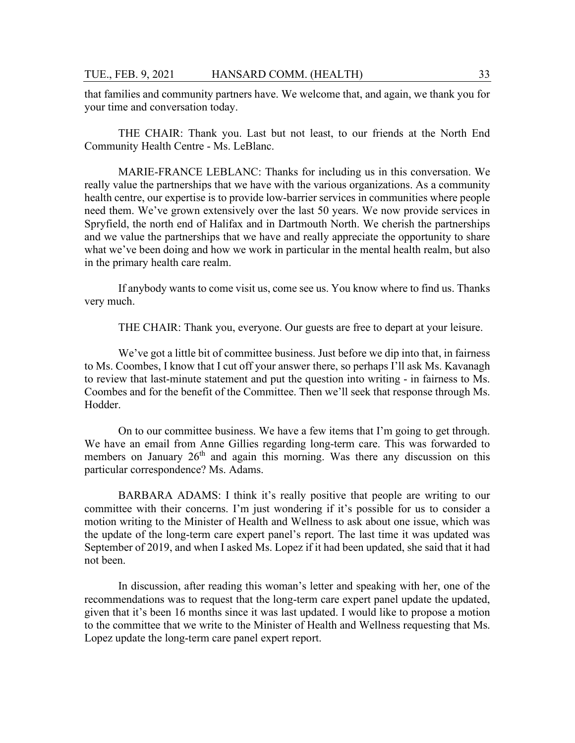that families and community partners have. We welcome that, and again, we thank you for your time and conversation today.

THE CHAIR: Thank you. Last but not least, to our friends at the North End Community Health Centre - Ms. LeBlanc.

MARIE-FRANCE LEBLANC: Thanks for including us in this conversation. We really value the partnerships that we have with the various organizations. As a community health centre, our expertise is to provide low-barrier services in communities where people need them. We've grown extensively over the last 50 years. We now provide services in Spryfield, the north end of Halifax and in Dartmouth North. We cherish the partnerships and we value the partnerships that we have and really appreciate the opportunity to share what we've been doing and how we work in particular in the mental health realm, but also in the primary health care realm.

If anybody wants to come visit us, come see us. You know where to find us. Thanks very much.

THE CHAIR: Thank you, everyone. Our guests are free to depart at your leisure.

We've got a little bit of committee business. Just before we dip into that, in fairness to Ms. Coombes, I know that I cut off your answer there, so perhaps I'll ask Ms. Kavanagh to review that last-minute statement and put the question into writing - in fairness to Ms. Coombes and for the benefit of the Committee. Then we'll seek that response through Ms. Hodder.

On to our committee business. We have a few items that I'm going to get through. We have an email from Anne Gillies regarding long-term care. This was forwarded to members on January  $26<sup>th</sup>$  and again this morning. Was there any discussion on this particular correspondence? Ms. Adams.

BARBARA ADAMS: I think it's really positive that people are writing to our committee with their concerns. I'm just wondering if it's possible for us to consider a motion writing to the Minister of Health and Wellness to ask about one issue, which was the update of the long-term care expert panel's report. The last time it was updated was September of 2019, and when I asked Ms. Lopez if it had been updated, she said that it had not been.

In discussion, after reading this woman's letter and speaking with her, one of the recommendations was to request that the long-term care expert panel update the updated, given that it's been 16 months since it was last updated. I would like to propose a motion to the committee that we write to the Minister of Health and Wellness requesting that Ms. Lopez update the long-term care panel expert report.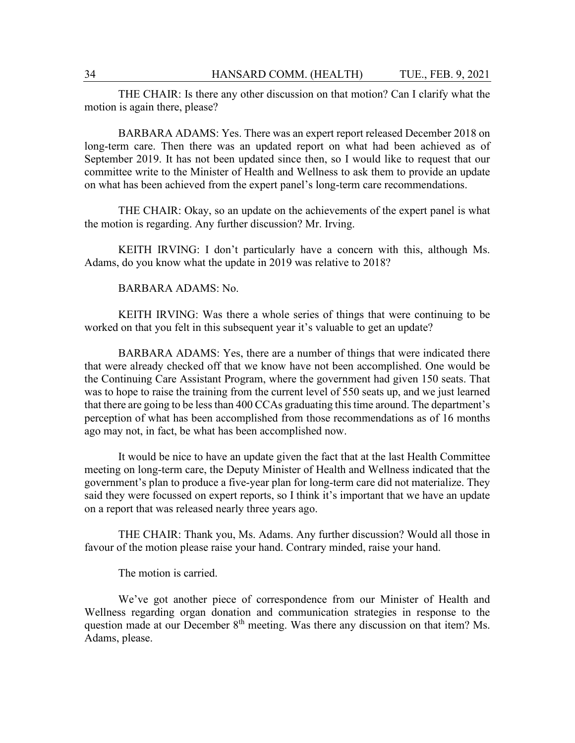THE CHAIR: Is there any other discussion on that motion? Can I clarify what the motion is again there, please?

BARBARA ADAMS: Yes. There was an expert report released December 2018 on long-term care. Then there was an updated report on what had been achieved as of September 2019. It has not been updated since then, so I would like to request that our committee write to the Minister of Health and Wellness to ask them to provide an update on what has been achieved from the expert panel's long-term care recommendations.

THE CHAIR: Okay, so an update on the achievements of the expert panel is what the motion is regarding. Any further discussion? Mr. Irving.

KEITH IRVING: I don't particularly have a concern with this, although Ms. Adams, do you know what the update in 2019 was relative to 2018?

#### BARBARA ADAMS: No.

KEITH IRVING: Was there a whole series of things that were continuing to be worked on that you felt in this subsequent year it's valuable to get an update?

BARBARA ADAMS: Yes, there are a number of things that were indicated there that were already checked off that we know have not been accomplished. One would be the Continuing Care Assistant Program, where the government had given 150 seats. That was to hope to raise the training from the current level of 550 seats up, and we just learned that there are going to be less than 400 CCAs graduating this time around. The department's perception of what has been accomplished from those recommendations as of 16 months ago may not, in fact, be what has been accomplished now.

It would be nice to have an update given the fact that at the last Health Committee meeting on long-term care, the Deputy Minister of Health and Wellness indicated that the government's plan to produce a five-year plan for long-term care did not materialize. They said they were focussed on expert reports, so I think it's important that we have an update on a report that was released nearly three years ago.

THE CHAIR: Thank you, Ms. Adams. Any further discussion? Would all those in favour of the motion please raise your hand. Contrary minded, raise your hand.

The motion is carried.

We've got another piece of correspondence from our Minister of Health and Wellness regarding organ donation and communication strategies in response to the question made at our December 8<sup>th</sup> meeting. Was there any discussion on that item? Ms. Adams, please.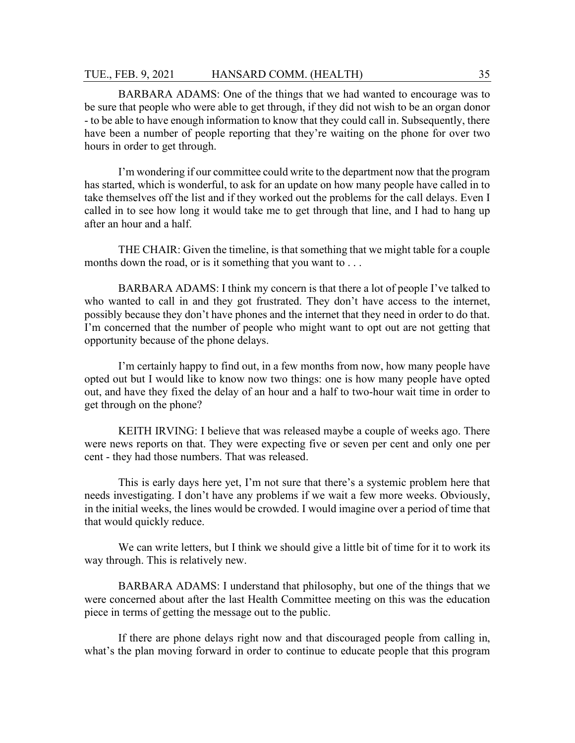BARBARA ADAMS: One of the things that we had wanted to encourage was to be sure that people who were able to get through, if they did not wish to be an organ donor - to be able to have enough information to know that they could call in. Subsequently, there have been a number of people reporting that they're waiting on the phone for over two hours in order to get through.

I'm wondering if our committee could write to the department now that the program has started, which is wonderful, to ask for an update on how many people have called in to take themselves off the list and if they worked out the problems for the call delays. Even I called in to see how long it would take me to get through that line, and I had to hang up after an hour and a half.

THE CHAIR: Given the timeline, is that something that we might table for a couple months down the road, or is it something that you want to . . .

BARBARA ADAMS: I think my concern is that there a lot of people I've talked to who wanted to call in and they got frustrated. They don't have access to the internet, possibly because they don't have phones and the internet that they need in order to do that. I'm concerned that the number of people who might want to opt out are not getting that opportunity because of the phone delays.

I'm certainly happy to find out, in a few months from now, how many people have opted out but I would like to know now two things: one is how many people have opted out, and have they fixed the delay of an hour and a half to two-hour wait time in order to get through on the phone?

KEITH IRVING: I believe that was released maybe a couple of weeks ago. There were news reports on that. They were expecting five or seven per cent and only one per cent - they had those numbers. That was released.

This is early days here yet, I'm not sure that there's a systemic problem here that needs investigating. I don't have any problems if we wait a few more weeks. Obviously, in the initial weeks, the lines would be crowded. I would imagine over a period of time that that would quickly reduce.

We can write letters, but I think we should give a little bit of time for it to work its way through. This is relatively new.

BARBARA ADAMS: I understand that philosophy, but one of the things that we were concerned about after the last Health Committee meeting on this was the education piece in terms of getting the message out to the public.

If there are phone delays right now and that discouraged people from calling in, what's the plan moving forward in order to continue to educate people that this program